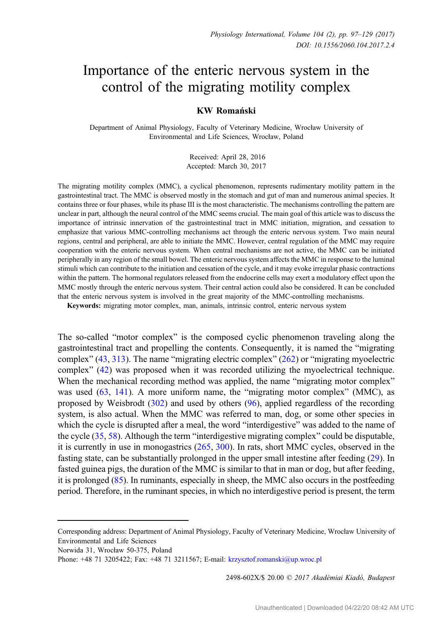# Importance of the enteric nervous system in the control of the migrating motility complex

# KW Romański

Department of Animal Physiology, Faculty of Veterinary Medicine, Wrocław University of Environmental and Life Sciences, Wrocław, Poland

> Received: April 28, 2016 Accepted: March 30, 2017

The migrating motility complex (MMC), a cyclical phenomenon, represents rudimentary motility pattern in the gastrointestinal tract. The MMC is observed mostly in the stomach and gut of man and numerous animal species. It contains three or four phases, while its phase III is the most characteristic. The mechanisms controlling the pattern are unclear in part, although the neural control of the MMC seems crucial. The main goal of this article was to discuss the importance of intrinsic innervation of the gastrointestinal tract in MMC initiation, migration, and cessation to emphasize that various MMC-controlling mechanisms act through the enteric nervous system. Two main neural regions, central and peripheral, are able to initiate the MMC. However, central regulation of the MMC may require cooperation with the enteric nervous system. When central mechanisms are not active, the MMC can be initiated peripherally in any region of the small bowel. The enteric nervous system affects the MMC in response to the luminal stimuli which can contribute to the initiation and cessation of the cycle, and it may evoke irregular phasic contractions within the pattern. The hormonal regulators released from the endocrine cells may exert a modulatory effect upon the MMC mostly through the enteric nervous system. Their central action could also be considered. It can be concluded that the enteric nervous system is involved in the great majority of the MMC-controlling mechanisms.

Keywords: migrating motor complex, man, animals, intrinsic control, enteric nervous system

The so-called "motor complex" is the composed cyclic phenomenon traveling along the gastrointestinal tract and propelling the contents. Consequently, it is named the "migrating complex" [\(43](#page-21-0), [313\)](#page-31-0). The name "migrating electric complex" [\(262](#page-29-0)) or "migrating myoelectric complex" ([42\)](#page-21-0) was proposed when it was recorded utilizing the myoelectrical technique. When the mechanical recording method was applied, the name "migrating motor complex" was used [\(63](#page-22-0), [141](#page-25-0)). A more uniform name, the "migrating motor complex" (MMC), as proposed by Weisbrodt [\(302](#page-31-0)) and used by others ([96\)](#page-23-0), applied regardless of the recording system, is also actual. When the MMC was referred to man, dog, or some other species in which the cycle is disrupted after a meal, the word "interdigestive" was added to the name of the cycle [\(35](#page-21-0), [58\)](#page-22-0). Although the term "interdigestive migrating complex" could be disputable, it is currently in use in monogastrics ([265,](#page-29-0) [300](#page-31-0)). In rats, short MMC cycles, observed in the fasting state, can be substantially prolonged in the upper small intestine after feeding ([29\)](#page-21-0). In fasted guinea pigs, the duration of the MMC is similar to that in man or dog, but after feeding, it is prolonged [\(85](#page-23-0)). In ruminants, especially in sheep, the MMC also occurs in the postfeeding period. Therefore, in the ruminant species, in which no interdigestive period is present, the term

Norwida 31, Wrocław 50-375, Poland

2498-602X/\$ 20.00 © 2017 Akadémiai Kiadó, Budapest

Corresponding address: Department of Animal Physiology, Faculty of Veterinary Medicine, Wrocław University of Environmental and Life Sciences

Phone: +48 71 3205422; Fax: +48 71 3211567; E-mail: [krzysztof.romanski@up.wroc.pl](mailto:krzysztof.romanski@up.wroc.pl)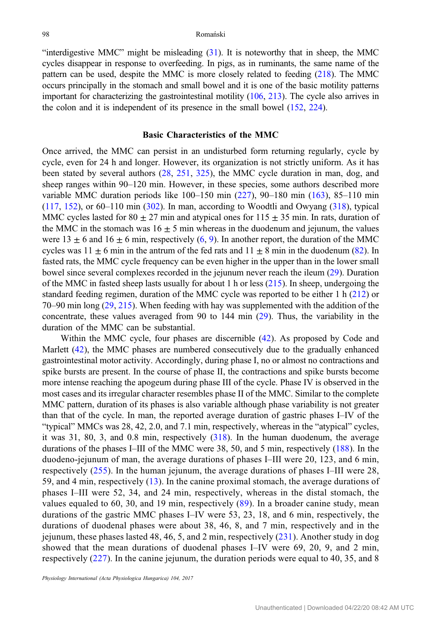"interdigestive MMC" might be misleading  $(31)$  $(31)$ . It is noteworthy that in sheep, the MMC cycles disappear in response to overfeeding. In pigs, as in ruminants, the same name of the pattern can be used, despite the MMC is more closely related to feeding [\(218\)](#page-28-0). The MMC occurs principally in the stomach and small bowel and it is one of the basic motility patterns important for characterizing the gastrointestinal motility [\(106,](#page-23-0) [213](#page-27-0)). The cycle also arrives in the colon and it is independent of its presence in the small bowel [\(152,](#page-25-0) [224](#page-28-0)).

### Basic Characteristics of the MMC

Once arrived, the MMC can persist in an undisturbed form returning regularly, cycle by cycle, even for 24 h and longer. However, its organization is not strictly uniform. As it has been stated by several authors [\(28](#page-20-0), [251](#page-29-0), [325\)](#page-32-0), the MMC cycle duration in man, dog, and sheep ranges within 90–120 min. However, in these species, some authors described more variable MMC duration periods like 100–150 min ([227\)](#page-28-0), 90–180 min [\(163](#page-26-0)), 85–110 min  $(117, 152)$  $(117, 152)$  $(117, 152)$ , or 60–110 min  $(302)$  $(302)$ . In man, according to Woodtli and Owyang  $(318)$  $(318)$ , typical MMC cycles lasted for 80  $\pm$  27 min and atypical ones for 115  $\pm$  35 min. In rats, duration of the MMC in the stomach was  $16 \pm 5$  min whereas in the duodenum and jejunum, the values were  $13 \pm 6$  and  $16 \pm 6$  min, respectively ([6,](#page-20-0) [9\)](#page-20-0). In another report, the duration of the MMC cycles was  $11 \pm 6$  min in the antrum of the fed rats and  $11 \pm 8$  min in the duodenum ([82\)](#page-22-0). In fasted rats, the MMC cycle frequency can be even higher in the upper than in the lower small bowel since several complexes recorded in the jejunum never reach the ileum [\(29\)](#page-21-0). Duration of the MMC in fasted sheep lasts usually for about 1 h or less [\(215](#page-27-0)). In sheep, undergoing the standard feeding regimen, duration of the MMC cycle was reported to be either 1 h ([212\)](#page-27-0) or 70–90 min long [\(29](#page-21-0), [215\)](#page-27-0). When feeding with hay was supplemented with the addition of the concentrate, these values averaged from 90 to 144 min [\(29](#page-21-0)). Thus, the variability in the duration of the MMC can be substantial.

Within the MMC cycle, four phases are discernible [\(42](#page-21-0)). As proposed by Code and Marlett ([42\)](#page-21-0), the MMC phases are numbered consecutively due to the gradually enhanced gastrointestinal motor activity. Accordingly, during phase I, no or almost no contractions and spike bursts are present. In the course of phase II, the contractions and spike bursts become more intense reaching the apogeum during phase III of the cycle. Phase IV is observed in the most cases and its irregular character resembles phase II of the MMC. Similar to the complete MMC pattern, duration of its phases is also variable although phase variability is not greater than that of the cycle. In man, the reported average duration of gastric phases I–IV of the "typical" MMCs was 28, 42, 2.0, and 7.1 min, respectively, whereas in the "atypical" cycles, it was 31, 80, 3, and 0.8 min, respectively [\(318](#page-31-0)). In the human duodenum, the average durations of the phases I–III of the MMC were 38, 50, and 5 min, respectively ([188\)](#page-27-0). In the duodeno-jejunum of man, the average durations of phases I–III were 20, 123, and 6 min, respectively ([255](#page-29-0)). In the human jejunum, the average durations of phases I–III were 28, 59, and 4 min, respectively [\(13\)](#page-20-0). In the canine proximal stomach, the average durations of phases I–III were 52, 34, and 24 min, respectively, whereas in the distal stomach, the values equaled to 60, 30, and 19 min, respectively ([89](#page-23-0)). In a broader canine study, mean durations of the gastric MMC phases I–IV were 53, 23, 18, and 6 min, respectively, the durations of duodenal phases were about 38, 46, 8, and 7 min, respectively and in the jejunum, these phases lasted 48, 46, 5, and 2 min, respectively  $(231)$  $(231)$  $(231)$ . Another study in dog showed that the mean durations of duodenal phases I–IV were 69, 20, 9, and 2 min, respectively [\(227\)](#page-28-0). In the canine jejunum, the duration periods were equal to 40, 35, and 8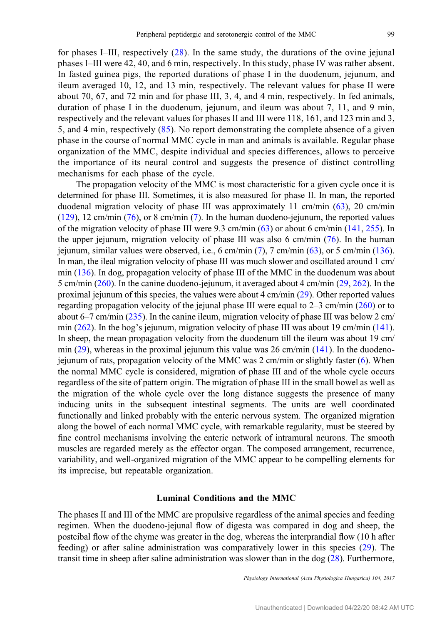for phases I–III, respectively [\(28](#page-20-0)). In the same study, the durations of the ovine jejunal phases I–III were 42, 40, and 6 min, respectively. In this study, phase IV was rather absent. In fasted guinea pigs, the reported durations of phase I in the duodenum, jejunum, and ileum averaged 10, 12, and 13 min, respectively. The relevant values for phase II were about 70, 67, and 72 min and for phase III, 3, 4, and 4 min, respectively. In fed animals, duration of phase I in the duodenum, jejunum, and ileum was about 7, 11, and 9 min, respectively and the relevant values for phases II and III were 118, 161, and 123 min and 3, 5, and 4 min, respectively ([85\)](#page-23-0). No report demonstrating the complete absence of a given phase in the course of normal MMC cycle in man and animals is available. Regular phase organization of the MMC, despite individual and species differences, allows to perceive the importance of its neural control and suggests the presence of distinct controlling mechanisms for each phase of the cycle.

The propagation velocity of the MMC is most characteristic for a given cycle once it is determined for phase III. Sometimes, it is also measured for phase II. In man, the reported duodenal migration velocity of phase III was approximately 11 cm/min [\(63](#page-22-0)), 20 cm/min [\(129](#page-24-0)), 12 cm/min [\(76](#page-22-0)), or 8 cm/min ([7\)](#page-20-0). In the human duodeno-jejunum, the reported values of the migration velocity of phase III were 9.3 cm/min  $(63)$  $(63)$  or about 6 cm/min ([141,](#page-25-0) [255\)](#page-29-0). In the upper jejunum, migration velocity of phase III was also 6 cm/min [\(76](#page-22-0)). In the human jejunum, similar values were observed, i.e., 6 cm/min ([7\)](#page-20-0), 7 cm/min [\(63](#page-22-0)), or 5 cm/min [\(136](#page-25-0)). In man, the ileal migration velocity of phase III was much slower and oscillated around 1 cm/ min [\(136](#page-25-0)). In dog, propagation velocity of phase III of the MMC in the duodenum was about 5 cm/min ([260\)](#page-29-0). In the canine duodeno-jejunum, it averaged about 4 cm/min ([29,](#page-21-0) [262](#page-29-0)). In the proximal jejunum of this species, the values were about 4 cm/min ([29\)](#page-21-0). Other reported values regarding propagation velocity of the jejunal phase III were equal to 2–3 cm/min ([260\)](#page-29-0) or to about 6–7 cm/min ([235](#page-28-0)). In the canine ileum, migration velocity of phase III was below 2 cm/ min [\(262](#page-29-0)). In the hog's jejunum, migration velocity of phase III was about 19 cm/min [\(141](#page-25-0)). In sheep, the mean propagation velocity from the duodenum till the ileum was about 19 cm/ min [\(29](#page-21-0)), whereas in the proximal jejunum this value was  $26 \text{ cm/min}$  ([141\)](#page-25-0). In the duodenojejunum of rats, propagation velocity of the MMC was 2 cm/min or slightly faster [\(6\)](#page-20-0). When the normal MMC cycle is considered, migration of phase III and of the whole cycle occurs regardless of the site of pattern origin. The migration of phase III in the small bowel as well as the migration of the whole cycle over the long distance suggests the presence of many inducing units in the subsequent intestinal segments. The units are well coordinated functionally and linked probably with the enteric nervous system. The organized migration along the bowel of each normal MMC cycle, with remarkable regularity, must be steered by fine control mechanisms involving the enteric network of intramural neurons. The smooth muscles are regarded merely as the effector organ. The composed arrangement, recurrence, variability, and well-organized migration of the MMC appear to be compelling elements for its imprecise, but repeatable organization.

# Luminal Conditions and the MMC

The phases II and III of the MMC are propulsive regardless of the animal species and feeding regimen. When the duodeno-jejunal flow of digesta was compared in dog and sheep, the postcibal flow of the chyme was greater in the dog, whereas the interprandial flow (10 h after feeding) or after saline administration was comparatively lower in this species ([29\)](#page-21-0). The transit time in sheep after saline administration was slower than in the dog [\(28](#page-20-0)). Furthermore,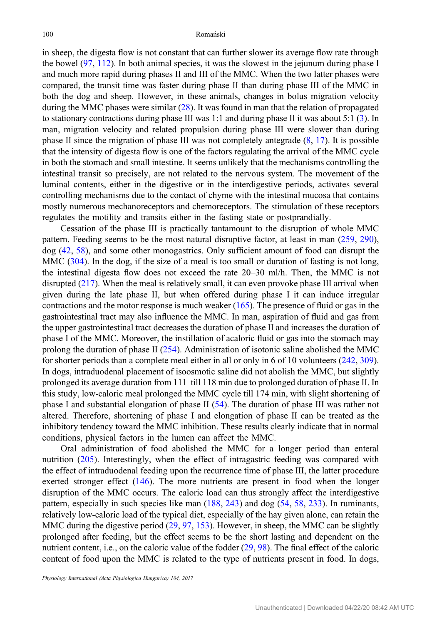in sheep, the digesta flow is not constant that can further slower its average flow rate through the bowel ([97,](#page-23-0) [112\)](#page-24-0). In both animal species, it was the slowest in the jejunum during phase I and much more rapid during phases II and III of the MMC. When the two latter phases were compared, the transit time was faster during phase II than during phase III of the MMC in both the dog and sheep. However, in these animals, changes in bolus migration velocity during the MMC phases were similar [\(28](#page-20-0)). It was found in man that the relation of propagated to stationary contractions during phase III was 1:1 and during phase II it was about 5:1 ([3\)](#page-19-0). In man, migration velocity and related propulsion during phase III were slower than during phase II since the migration of phase III was not completely antegrade  $(8, 17)$  $(8, 17)$  $(8, 17)$  $(8, 17)$ . It is possible that the intensity of digesta flow is one of the factors regulating the arrival of the MMC cycle in both the stomach and small intestine. It seems unlikely that the mechanisms controlling the intestinal transit so precisely, are not related to the nervous system. The movement of the luminal contents, either in the digestive or in the interdigestive periods, activates several controlling mechanisms due to the contact of chyme with the intestinal mucosa that contains mostly numerous mechanoreceptors and chemoreceptors. The stimulation of these receptors regulates the motility and transits either in the fasting state or postprandially.

Cessation of the phase III is practically tantamount to the disruption of whole MMC pattern. Feeding seems to be the most natural disruptive factor, at least in man ([259,](#page-29-0) [290](#page-30-0)), dog [\(42](#page-21-0), [58\)](#page-22-0), and some other monogastrics. Only sufficient amount of food can disrupt the MMC ([304\)](#page-31-0). In the dog, if the size of a meal is too small or duration of fasting is not long, the intestinal digesta flow does not exceed the rate 20–30 ml/h. Then, the MMC is not disrupted [\(217](#page-28-0)). When the meal is relatively small, it can even provoke phase III arrival when given during the late phase II, but when offered during phase I it can induce irregular contractions and the motor response is much weaker  $(165)$  $(165)$ . The presence of fluid or gas in the gastrointestinal tract may also influence the MMC. In man, aspiration of fluid and gas from the upper gastrointestinal tract decreases the duration of phase II and increases the duration of phase I of the MMC. Moreover, the instillation of acaloric fluid or gas into the stomach may prolong the duration of phase II ([254\)](#page-29-0). Administration of isotonic saline abolished the MMC for shorter periods than a complete meal either in all or only in 6 of 10 volunteers [\(242](#page-29-0), [309](#page-31-0)). In dogs, intraduodenal placement of isoosmotic saline did not abolish the MMC, but slightly prolonged its average duration from 111 till 118 min due to prolonged duration of phase II. In this study, low-caloric meal prolonged the MMC cycle till 174 min, with slight shortening of phase I and substantial elongation of phase II [\(54](#page-21-0)). The duration of phase III was rather not altered. Therefore, shortening of phase I and elongation of phase II can be treated as the inhibitory tendency toward the MMC inhibition. These results clearly indicate that in normal conditions, physical factors in the lumen can affect the MMC.

Oral administration of food abolished the MMC for a longer period than enteral nutrition ([205\)](#page-27-0). Interestingly, when the effect of intragastric feeding was compared with the effect of intraduodenal feeding upon the recurrence time of phase III, the latter procedure exerted stronger effect ([146\)](#page-25-0). The more nutrients are present in food when the longer disruption of the MMC occurs. The caloric load can thus strongly affect the interdigestive pattern, especially in such species like man [\(188](#page-27-0), [243\)](#page-29-0) and dog [\(54](#page-21-0), [58,](#page-22-0) [233](#page-28-0)). In ruminants, relatively low-caloric load of the typical diet, especially of the hay given alone, can retain the MMC during the digestive period ([29,](#page-21-0) [97,](#page-23-0) [153](#page-25-0)). However, in sheep, the MMC can be slightly prolonged after feeding, but the effect seems to be the short lasting and dependent on the nutrient content, i.e., on the caloric value of the fodder [\(29](#page-21-0), [98\)](#page-23-0). The final effect of the caloric content of food upon the MMC is related to the type of nutrients present in food. In dogs,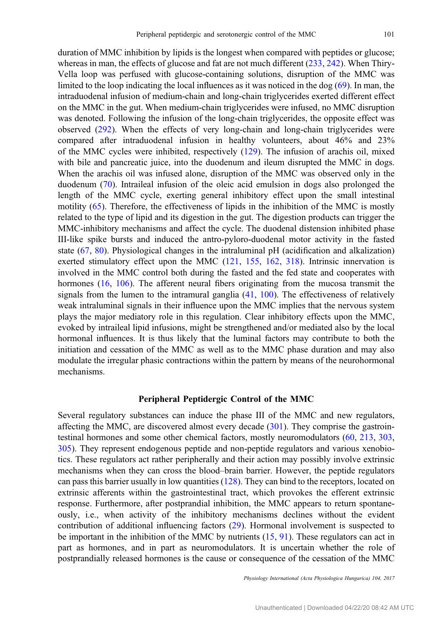duration of MMC inhibition by lipids is the longest when compared with peptides or glucose; whereas in man, the effects of glucose and fat are not much different [\(233](#page-28-0), [242\)](#page-29-0). When Thiry-Vella loop was perfused with glucose-containing solutions, disruption of the MMC was limited to the loop indicating the local influences as it was noticed in the dog ([69\)](#page-22-0). In man, the intraduodenal infusion of medium-chain and long-chain triglycerides exerted different effect on the MMC in the gut. When medium-chain triglycerides were infused, no MMC disruption was denoted. Following the infusion of the long-chain triglycerides, the opposite effect was observed ([292\)](#page-30-0). When the effects of very long-chain and long-chain triglycerides were compared after intraduodenal infusion in healthy volunteers, about 46% and 23% of the MMC cycles were inhibited, respectively ([129\)](#page-24-0). The infusion of arachis oil, mixed with bile and pancreatic juice, into the duodenum and ileum disrupted the MMC in dogs. When the arachis oil was infused alone, disruption of the MMC was observed only in the duodenum [\(70](#page-22-0)). Intraileal infusion of the oleic acid emulsion in dogs also prolonged the length of the MMC cycle, exerting general inhibitory effect upon the small intestinal motility ([65\)](#page-22-0). Therefore, the effectiveness of lipids in the inhibition of the MMC is mostly related to the type of lipid and its digestion in the gut. The digestion products can trigger the MMC-inhibitory mechanisms and affect the cycle. The duodenal distension inhibited phase III-like spike bursts and induced the antro-pyloro-duodenal motor activity in the fasted state [\(67,](#page-22-0) [80](#page-22-0)). Physiological changes in the intraluminal pH (acidification and alkalization) exerted stimulatory effect upon the MMC ([121,](#page-24-0) [155,](#page-25-0) [162,](#page-25-0) [318](#page-31-0)). Intrinsic innervation is involved in the MMC control both during the fasted and the fed state and cooperates with hormones ([16,](#page-20-0) [106](#page-23-0)). The afferent neural fibers originating from the mucosa transmit the signals from the lumen to the intramural ganglia [\(41](#page-21-0), [100](#page-23-0)). The effectiveness of relatively weak intraluminal signals in their influence upon the MMC implies that the nervous system plays the major mediatory role in this regulation. Clear inhibitory effects upon the MMC, evoked by intraileal lipid infusions, might be strengthened and/or mediated also by the local hormonal influences. It is thus likely that the luminal factors may contribute to both the initiation and cessation of the MMC as well as to the MMC phase duration and may also modulate the irregular phasic contractions within the pattern by means of the neurohormonal mechanisms.

# Peripheral Peptidergic Control of the MMC

Several regulatory substances can induce the phase III of the MMC and new regulators, affecting the MMC, are discovered almost every decade ([301\)](#page-31-0). They comprise the gastrointestinal hormones and some other chemical factors, mostly neuromodulators [\(60](#page-22-0), [213,](#page-27-0) [303,](#page-31-0) [305](#page-31-0)). They represent endogenous peptide and non-peptide regulators and various xenobiotics. These regulators act rather peripherally and their action may possibly involve extrinsic mechanisms when they can cross the blood–brain barrier. However, the peptide regulators can pass this barrier usually in low quantities ([128\)](#page-24-0). They can bind to the receptors, located on extrinsic afferents within the gastrointestinal tract, which provokes the efferent extrinsic response. Furthermore, after postprandial inhibition, the MMC appears to return spontaneously, i.e., when activity of the inhibitory mechanisms declines without the evident contribution of additional influencing factors ([29\)](#page-21-0). Hormonal involvement is suspected to be important in the inhibition of the MMC by nutrients  $(15, 91)$  $(15, 91)$  $(15, 91)$  $(15, 91)$ . These regulators can act in part as hormones, and in part as neuromodulators. It is uncertain whether the role of postprandially released hormones is the cause or consequence of the cessation of the MMC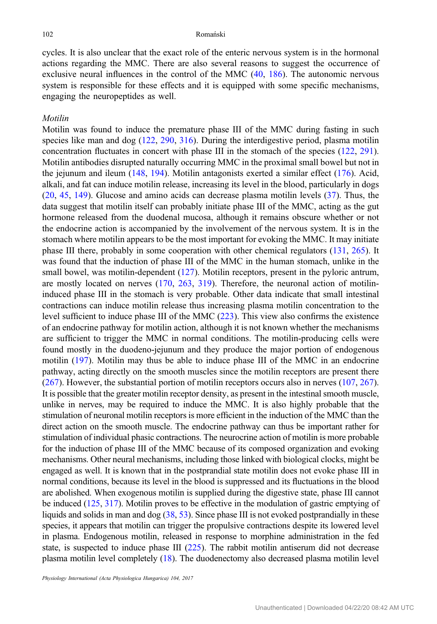cycles. It is also unclear that the exact role of the enteric nervous system is in the hormonal actions regarding the MMC. There are also several reasons to suggest the occurrence of exclusive neural influences in the control of the MMC ([40,](#page-21-0) [186\)](#page-26-0). The autonomic nervous system is responsible for these effects and it is equipped with some specific mechanisms, engaging the neuropeptides as well.

# Motilin

Motilin was found to induce the premature phase III of the MMC during fasting in such species like man and dog [\(122](#page-24-0), [290,](#page-30-0) [316\)](#page-31-0). During the interdigestive period, plasma motilin concentration fluctuates in concert with phase III in the stomach of the species ([122,](#page-24-0) [291](#page-30-0)). Motilin antibodies disrupted naturally occurring MMC in the proximal small bowel but not in the jejunum and ileum [\(148](#page-25-0), [194\)](#page-27-0). Motilin antagonists exerted a similar effect [\(176](#page-26-0)). Acid, alkali, and fat can induce motilin release, increasing its level in the blood, particularly in dogs [\(20](#page-20-0), [45,](#page-21-0) [149\)](#page-25-0). Glucose and amino acids can decrease plasma motilin levels [\(37](#page-21-0)). Thus, the data suggest that motilin itself can probably initiate phase III of the MMC, acting as the gut hormone released from the duodenal mucosa, although it remains obscure whether or not the endocrine action is accompanied by the involvement of the nervous system. It is in the stomach where motilin appears to be the most important for evoking the MMC. It may initiate phase III there, probably in some cooperation with other chemical regulators [\(131](#page-24-0), [265](#page-29-0)). It was found that the induction of phase III of the MMC in the human stomach, unlike in the small bowel, was motilin-dependent ([127\)](#page-24-0). Motilin receptors, present in the pyloric antrum, are mostly located on nerves ([170,](#page-26-0) [263](#page-29-0), [319\)](#page-32-0). Therefore, the neuronal action of motilininduced phase III in the stomach is very probable. Other data indicate that small intestinal contractions can induce motilin release thus increasing plasma motilin concentration to the level sufficient to induce phase III of the MMC [\(223](#page-28-0)). This view also confirms the existence of an endocrine pathway for motilin action, although it is not known whether the mechanisms are sufficient to trigger the MMC in normal conditions. The motilin-producing cells were found mostly in the duodeno-jejunum and they produce the major portion of endogenous motilin [\(197](#page-27-0)). Motilin may thus be able to induce phase III of the MMC in an endocrine pathway, acting directly on the smooth muscles since the motilin receptors are present there [\(267](#page-29-0)). However, the substantial portion of motilin receptors occurs also in nerves [\(107](#page-23-0), [267](#page-29-0)). It is possible that the greater motilin receptor density, as present in the intestinal smooth muscle, unlike in nerves, may be required to induce the MMC. It is also highly probable that the stimulation of neuronal motilin receptors is more efficient in the induction of the MMC than the direct action on the smooth muscle. The endocrine pathway can thus be important rather for stimulation of individual phasic contractions. The neurocrine action of motilin is more probable for the induction of phase III of the MMC because of its composed organization and evoking mechanisms. Other neural mechanisms, including those linked with biological clocks, might be engaged as well. It is known that in the postprandial state motilin does not evoke phase III in normal conditions, because its level in the blood is suppressed and its fluctuations in the blood are abolished. When exogenous motilin is supplied during the digestive state, phase III cannot be induced [\(125](#page-24-0), [317\)](#page-31-0). Motilin proves to be effective in the modulation of gastric emptying of liquids and solids in man and dog ([38](#page-21-0), [53\)](#page-21-0). Since phase III is not evoked postprandially in these species, it appears that motilin can trigger the propulsive contractions despite its lowered level in plasma. Endogenous motilin, released in response to morphine administration in the fed state, is suspected to induce phase III ([225](#page-28-0)). The rabbit motilin antiserum did not decrease plasma motilin level completely ([18](#page-20-0)). The duodenectomy also decreased plasma motilin level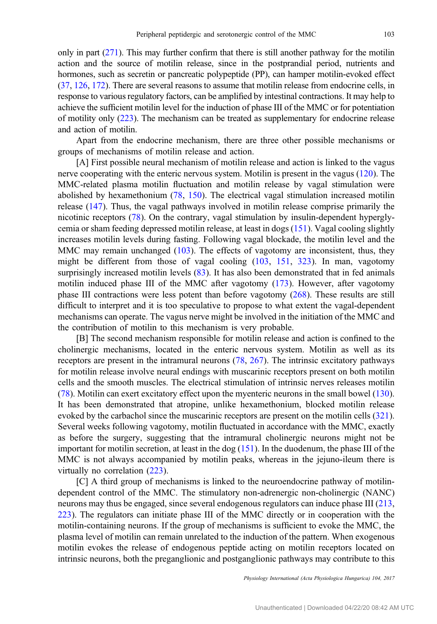only in part ([271](#page-30-0)). This may further confirm that there is still another pathway for the motilin action and the source of motilin release, since in the postprandial period, nutrients and hormones, such as secretin or pancreatic polypeptide (PP), can hamper motilin-evoked effect [\(37,](#page-21-0) [126](#page-24-0), [172\)](#page-26-0). There are several reasons to assume that motilin release from endocrine cells, in response to various regulatory factors, can be amplified by intestinal contractions. It may help to achieve the sufficient motilin level for the induction of phase III of the MMC or for potentiation of motility only ([223\)](#page-28-0). The mechanism can be treated as supplementary for endocrine release and action of motilin.

Apart from the endocrine mechanism, there are three other possible mechanisms or groups of mechanisms of motilin release and action.

[A] First possible neural mechanism of motilin release and action is linked to the vagus nerve cooperating with the enteric nervous system. Motilin is present in the vagus [\(120](#page-24-0)). The MMC-related plasma motilin fluctuation and motilin release by vagal stimulation were abolished by hexamethonium ([78,](#page-22-0) [150\)](#page-25-0). The electrical vagal stimulation increased motilin release ([147\)](#page-25-0). Thus, the vagal pathways involved in motilin release comprise primarily the nicotinic receptors [\(78](#page-22-0)). On the contrary, vagal stimulation by insulin-dependent hyperglycemia or sham feeding depressed motilin release, at least in dogs [\(151](#page-25-0)). Vagal cooling slightly increases motilin levels during fasting. Following vagal blockade, the motilin level and the MMC may remain unchanged ([103\)](#page-23-0). The effects of vagotomy are inconsistent, thus, they might be different from those of vagal cooling ([103,](#page-23-0) [151](#page-25-0), [323](#page-32-0)). In man, vagotomy surprisingly increased motilin levels [\(83](#page-22-0)). It has also been demonstrated that in fed animals motilin induced phase III of the MMC after vagotomy ([173\)](#page-26-0). However, after vagotomy phase III contractions were less potent than before vagotomy [\(268](#page-29-0)). These results are still difficult to interpret and it is too speculative to propose to what extent the vagal-dependent mechanisms can operate. The vagus nerve might be involved in the initiation of the MMC and the contribution of motilin to this mechanism is very probable.

[B] The second mechanism responsible for motilin release and action is confined to the cholinergic mechanisms, located in the enteric nervous system. Motilin as well as its receptors are present in the intramural neurons ([78,](#page-22-0) [267](#page-29-0)). The intrinsic excitatory pathways for motilin release involve neural endings with muscarinic receptors present on both motilin cells and the smooth muscles. The electrical stimulation of intrinsic nerves releases motilin [\(78](#page-22-0)). Motilin can exert excitatory effect upon the myenteric neurons in the small bowel [\(130](#page-24-0)). It has been demonstrated that atropine, unlike hexamethonium, blocked motilin release evoked by the carbachol since the muscarinic receptors are present on the motilin cells [\(321](#page-32-0)). Several weeks following vagotomy, motilin fluctuated in accordance with the MMC, exactly as before the surgery, suggesting that the intramural cholinergic neurons might not be important for motilin secretion, at least in the dog  $(151)$  $(151)$ . In the duodenum, the phase III of the MMC is not always accompanied by motilin peaks, whereas in the jejuno-ileum there is virtually no correlation ([223\)](#page-28-0).

[C] A third group of mechanisms is linked to the neuroendocrine pathway of motilindependent control of the MMC. The stimulatory non-adrenergic non-cholinergic (NANC) neurons may thus be engaged, since several endogenous regulators can induce phase III [\(213,](#page-27-0) [223](#page-28-0)). The regulators can initiate phase III of the MMC directly or in cooperation with the motilin-containing neurons. If the group of mechanisms is sufficient to evoke the MMC, the plasma level of motilin can remain unrelated to the induction of the pattern. When exogenous motilin evokes the release of endogenous peptide acting on motilin receptors located on intrinsic neurons, both the preganglionic and postganglionic pathways may contribute to this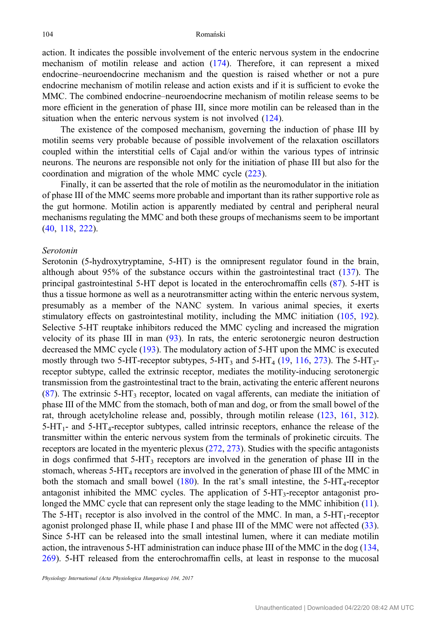action. It indicates the possible involvement of the enteric nervous system in the endocrine mechanism of motilin release and action ([174\)](#page-26-0). Therefore, it can represent a mixed endocrine–neuroendocrine mechanism and the question is raised whether or not a pure endocrine mechanism of motilin release and action exists and if it is sufficient to evoke the MMC. The combined endocrine–neuroendocrine mechanism of motilin release seems to be more efficient in the generation of phase III, since more motilin can be released than in the situation when the enteric nervous system is not involved [\(124](#page-24-0)).

The existence of the composed mechanism, governing the induction of phase III by motilin seems very probable because of possible involvement of the relaxation oscillators coupled within the interstitial cells of Cajal and/or within the various types of intrinsic neurons. The neurons are responsible not only for the initiation of phase III but also for the coordination and migration of the whole MMC cycle [\(223](#page-28-0)).

Finally, it can be asserted that the role of motilin as the neuromodulator in the initiation of phase III of the MMC seems more probable and important than its rather supportive role as the gut hormone. Motilin action is apparently mediated by central and peripheral neural mechanisms regulating the MMC and both these groups of mechanisms seem to be important [\(40](#page-21-0), [118](#page-24-0), [222](#page-28-0)).

#### Serotonin

Serotonin (5-hydroxytryptamine, 5-HT) is the omnipresent regulator found in the brain, although about 95% of the substance occurs within the gastrointestinal tract [\(137](#page-25-0)). The principal gastrointestinal 5-HT depot is located in the enterochromaffin cells ([87\)](#page-23-0). 5-HT is thus a tissue hormone as well as a neurotransmitter acting within the enteric nervous system, presumably as a member of the NANC system. In various animal species, it exerts stimulatory effects on gastrointestinal motility, including the MMC initiation ([105,](#page-23-0) [192](#page-27-0)). Selective 5-HT reuptake inhibitors reduced the MMC cycling and increased the migration velocity of its phase III in man [\(93](#page-23-0)). In rats, the enteric serotonergic neuron destruction decreased the MMC cycle [\(193](#page-27-0)). The modulatory action of 5-HT upon the MMC is executed mostly through two 5-HT-receptor subtypes,  $5-\text{HT}_3$  and  $5-\text{HT}_4$  ([19](#page-20-0), [116,](#page-24-0) [273](#page-30-0)). The  $5-\text{HT}_3$ receptor subtype, called the extrinsic receptor, mediates the motility-inducing serotonergic transmission from the gastrointestinal tract to the brain, activating the enteric afferent neurons  $(87)$  $(87)$ . The extrinsic 5-HT<sub>3</sub> receptor, located on vagal afferents, can mediate the initiation of phase III of the MMC from the stomach, both of man and dog, or from the small bowel of the rat, through acetylcholine release and, possibly, through motilin release [\(123](#page-24-0), [161,](#page-25-0) [312](#page-31-0)).  $5-HT_1$ - and  $5-HT_4$ -receptor subtypes, called intrinsic receptors, enhance the release of the transmitter within the enteric nervous system from the terminals of prokinetic circuits. The receptors are located in the myenteric plexus [\(272](#page-30-0), [273](#page-30-0)). Studies with the specific antagonists in dogs confirmed that  $5-HT<sub>3</sub>$  receptors are involved in the generation of phase III in the stomach, whereas  $5-HT<sub>4</sub>$  receptors are involved in the generation of phase III of the MMC in both the stomach and small bowel  $(180)$  $(180)$ . In the rat's small intestine, the 5-HT<sub>4</sub>-receptor antagonist inhibited the MMC cycles. The application of  $5-HT_3$ -receptor antagonist prolonged the MMC cycle that can represent only the stage leading to the MMC inhibition [\(11](#page-20-0)). The 5-HT<sub>1</sub> receptor is also involved in the control of the MMC. In man, a 5-HT<sub>1</sub>-receptor agonist prolonged phase II, while phase I and phase III of the MMC were not affected [\(33](#page-21-0)). Since 5-HT can be released into the small intestinal lumen, where it can mediate motilin action, the intravenous 5-HT administration can induce phase III of the MMC in the dog [\(134,](#page-24-0) [269](#page-30-0)). 5-HT released from the enterochromaffin cells, at least in response to the mucosal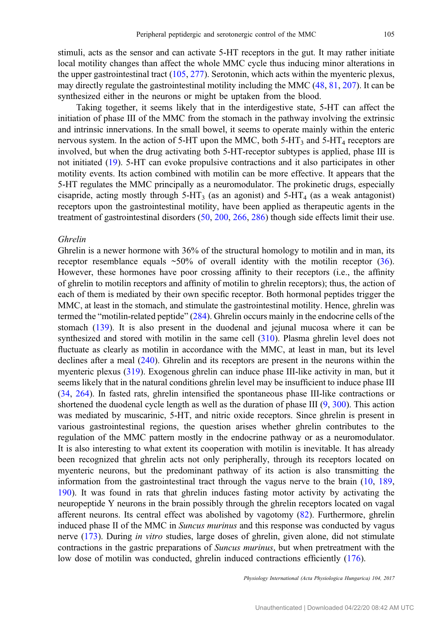stimuli, acts as the sensor and can activate 5-HT receptors in the gut. It may rather initiate local motility changes than affect the whole MMC cycle thus inducing minor alterations in the upper gastrointestinal tract ([105,](#page-23-0) [277](#page-30-0)). Serotonin, which acts within the myenteric plexus, may directly regulate the gastrointestinal motility including the MMC ([48,](#page-21-0) [81,](#page-22-0) [207](#page-27-0)). It can be synthesized either in the neurons or might be uptaken from the blood.

Taking together, it seems likely that in the interdigestive state, 5-HT can affect the initiation of phase III of the MMC from the stomach in the pathway involving the extrinsic and intrinsic innervations. In the small bowel, it seems to operate mainly within the enteric nervous system. In the action of 5-HT upon the MMC, both  $5-\text{HT}_3$  and  $5-\text{HT}_4$  receptors are involved, but when the drug activating both 5-HT-receptor subtypes is applied, phase III is not initiated [\(19](#page-20-0)). 5-HT can evoke propulsive contractions and it also participates in other motility events. Its action combined with motilin can be more effective. It appears that the 5-HT regulates the MMC principally as a neuromodulator. The prokinetic drugs, especially cisapride, acting mostly through  $5-HT_3$  (as an agonist) and  $5-HT_4$  (as a weak antagonist) receptors upon the gastrointestinal motility, have been applied as therapeutic agents in the treatment of gastrointestinal disorders ([50,](#page-21-0) [200,](#page-27-0) [266,](#page-29-0) [286](#page-30-0)) though side effects limit their use.

# Ghrelin

Ghrelin is a newer hormone with 36% of the structural homology to motilin and in man, its receptor resemblance equals  $~50\%$  of overall identity with the motilin receptor [\(36](#page-21-0)). However, these hormones have poor crossing affinity to their receptors (i.e., the affinity of ghrelin to motilin receptors and affinity of motilin to ghrelin receptors); thus, the action of each of them is mediated by their own specific receptor. Both hormonal peptides trigger the MMC, at least in the stomach, and stimulate the gastrointestinal motility. Hence, ghrelin was termed the "motilin-related peptide" [\(284](#page-30-0)). Ghrelin occurs mainly in the endocrine cells of the stomach [\(139](#page-25-0)). It is also present in the duodenal and jejunal mucosa where it can be synthesized and stored with motilin in the same cell [\(310](#page-31-0)). Plasma ghrelin level does not fluctuate as clearly as motilin in accordance with the MMC, at least in man, but its level declines after a meal [\(240](#page-28-0)). Ghrelin and its receptors are present in the neurons within the myenteric plexus ([319\)](#page-32-0). Exogenous ghrelin can induce phase III-like activity in man, but it seems likely that in the natural conditions ghrelin level may be insufficient to induce phase III [\(34](#page-21-0), [264](#page-29-0)). In fasted rats, ghrelin intensified the spontaneous phase III-like contractions or shortened the duodenal cycle length as well as the duration of phase III  $(9, 300)$  $(9, 300)$  $(9, 300)$  $(9, 300)$ . This action was mediated by muscarinic, 5-HT, and nitric oxide receptors. Since ghrelin is present in various gastrointestinal regions, the question arises whether ghrelin contributes to the regulation of the MMC pattern mostly in the endocrine pathway or as a neuromodulator. It is also interesting to what extent its cooperation with motilin is inevitable. It has already been recognized that ghrelin acts not only peripherally, through its receptors located on myenteric neurons, but the predominant pathway of its action is also transmitting the information from the gastrointestinal tract through the vagus nerve to the brain [\(10](#page-20-0), [189,](#page-27-0) [190](#page-27-0)). It was found in rats that ghrelin induces fasting motor activity by activating the neuropeptide Y neurons in the brain possibly through the ghrelin receptors located on vagal afferent neurons. Its central effect was abolished by vagotomy ([82\)](#page-22-0). Furthermore, ghrelin induced phase II of the MMC in Suncus murinus and this response was conducted by vagus nerve ([173\)](#page-26-0). During in vitro studies, large doses of ghrelin, given alone, did not stimulate contractions in the gastric preparations of *Suncus murinus*, but when pretreatment with the low dose of motilin was conducted, ghrelin induced contractions efficiently ([176](#page-26-0)).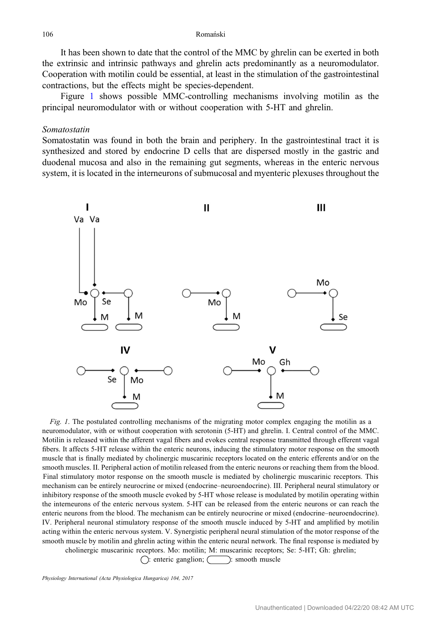It has been shown to date that the control of the MMC by ghrelin can be exerted in both the extrinsic and intrinsic pathways and ghrelin acts predominantly as a neuromodulator. Cooperation with motilin could be essential, at least in the stimulation of the gastrointestinal contractions, but the effects might be species-dependent.

Figure 1 shows possible MMC-controlling mechanisms involving motilin as the principal neuromodulator with or without cooperation with 5-HT and ghrelin.

# Somatostatin

Somatostatin was found in both the brain and periphery. In the gastrointestinal tract it is synthesized and stored by endocrine D cells that are dispersed mostly in the gastric and duodenal mucosa and also in the remaining gut segments, whereas in the enteric nervous system, it is located in the interneurons of submucosal and myenteric plexuses throughout the



Fig. 1. The postulated controlling mechanisms of the migrating motor complex engaging the motilin as a neuromodulator, with or without cooperation with serotonin (5-HT) and ghrelin. I. Central control of the MMC. Motilin is released within the afferent vagal fibers and evokes central response transmitted through efferent vagal fibers. It affects 5-HT release within the enteric neurons, inducing the stimulatory motor response on the smooth muscle that is finally mediated by cholinergic muscarinic receptors located on the enteric efferents and/or on the smooth muscles. II. Peripheral action of motilin released from the enteric neurons or reaching them from the blood. Final stimulatory motor response on the smooth muscle is mediated by cholinergic muscarinic receptors. This mechanism can be entirely neurocrine or mixed (endocrine–neuroendocrine). III. Peripheral neural stimulatory or inhibitory response of the smooth muscle evoked by 5-HT whose release is modulated by motilin operating within the interneurons of the enteric nervous system. 5-HT can be released from the enteric neurons or can reach the enteric neurons from the blood. The mechanism can be entirely neurocrine or mixed (endocrine–neuroendocrine). IV. Peripheral neuronal stimulatory response of the smooth muscle induced by 5-HT and amplified by motilin acting within the enteric nervous system. V. Synergistic peripheral neural stimulation of the motor response of the smooth muscle by motilin and ghrelin acting within the enteric neural network. The final response is mediated by

cholinergic muscarinic receptors. Mo: motilin; M: muscarinic receptors; Se: 5-HT; Gh: ghrelin;  $\bigcap$ : enteric ganglion;  $\bigcap$ : smooth muscle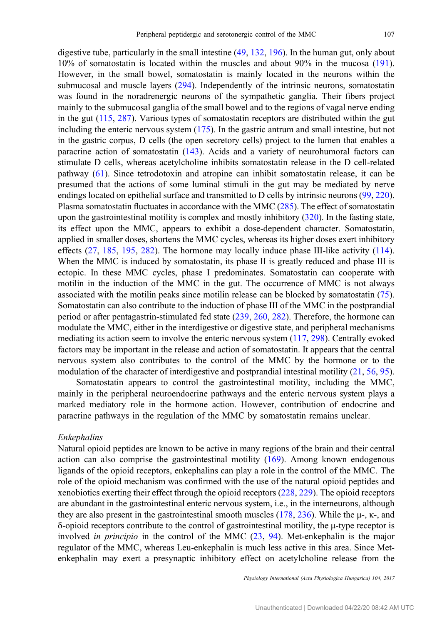digestive tube, particularly in the small intestine [\(49](#page-21-0), [132,](#page-24-0) [196\)](#page-27-0). In the human gut, only about 10% of somatostatin is located within the muscles and about 90% in the mucosa [\(191](#page-27-0)). However, in the small bowel, somatostatin is mainly located in the neurons within the submucosal and muscle layers ([294\)](#page-31-0). Independently of the intrinsic neurons, somatostatin was found in the noradrenergic neurons of the sympathetic ganglia. Their fibers project mainly to the submucosal ganglia of the small bowel and to the regions of vagal nerve ending in the gut ([115,](#page-24-0) [287](#page-30-0)). Various types of somatostatin receptors are distributed within the gut including the enteric nervous system [\(175](#page-26-0)). In the gastric antrum and small intestine, but not in the gastric corpus, D cells (the open secretory cells) project to the lumen that enables a paracrine action of somatostatin [\(143](#page-25-0)). Acids and a variety of neurohumoral factors can stimulate D cells, whereas acetylcholine inhibits somatostatin release in the D cell-related pathway ([61](#page-22-0)). Since tetrodotoxin and atropine can inhibit somatostatin release, it can be presumed that the actions of some luminal stimuli in the gut may be mediated by nerve endings located on epithelial surface and transmitted to D cells by intrinsic neurons ([99,](#page-23-0) [220](#page-28-0)). Plasma somatostatin fluctuates in accordance with the MMC [\(285](#page-30-0)). The effect of somatostatin upon the gastrointestinal motility is complex and mostly inhibitory [\(320](#page-32-0)). In the fasting state, its effect upon the MMC, appears to exhibit a dose-dependent character. Somatostatin, applied in smaller doses, shortens the MMC cycles, whereas its higher doses exert inhibitory effects ([27,](#page-20-0) [185,](#page-26-0) [195,](#page-27-0) [282\)](#page-30-0). The hormone may locally induce phase III-like activity [\(114](#page-24-0)). When the MMC is induced by somatostatin, its phase II is greatly reduced and phase III is ectopic. In these MMC cycles, phase I predominates. Somatostatin can cooperate with motilin in the induction of the MMC in the gut. The occurrence of MMC is not always associated with the motilin peaks since motilin release can be blocked by somatostatin [\(75](#page-22-0)). Somatostatin can also contribute to the induction of phase III of the MMC in the postprandial period or after pentagastrin-stimulated fed state [\(239](#page-28-0), [260](#page-29-0), [282\)](#page-30-0). Therefore, the hormone can modulate the MMC, either in the interdigestive or digestive state, and peripheral mechanisms mediating its action seem to involve the enteric nervous system [\(117,](#page-24-0) [298\)](#page-31-0). Centrally evoked factors may be important in the release and action of somatostatin. It appears that the central nervous system also contributes to the control of the MMC by the hormone or to the modulation of the character of interdigestive and postprandial intestinal motility [\(21,](#page-20-0) [56](#page-22-0), [95](#page-23-0)).

Somatostatin appears to control the gastrointestinal motility, including the MMC, mainly in the peripheral neuroendocrine pathways and the enteric nervous system plays a marked mediatory role in the hormone action. However, contribution of endocrine and paracrine pathways in the regulation of the MMC by somatostatin remains unclear.

# Enkephalins

Natural opioid peptides are known to be active in many regions of the brain and their central action can also comprise the gastrointestinal motility  $(169)$  $(169)$ . Among known endogenous ligands of the opioid receptors, enkephalins can play a role in the control of the MMC. The role of the opioid mechanism was confirmed with the use of the natural opioid peptides and xenobiotics exerting their effect through the opioid receptors [\(228](#page-28-0), [229\)](#page-28-0). The opioid receptors are abundant in the gastrointestinal enteric nervous system, i.e., in the interneurons, although they are also present in the gastrointestinal smooth muscles [\(178](#page-26-0), [236](#page-28-0)). While the μ-, κ-, and δ-opioid receptors contribute to the control of gastrointestinal motility, the μ-type receptor is involved in principio in the control of the MMC ([23](#page-20-0), [94\)](#page-23-0). Met-enkephalin is the major regulator of the MMC, whereas Leu-enkephalin is much less active in this area. Since Metenkephalin may exert a presynaptic inhibitory effect on acetylcholine release from the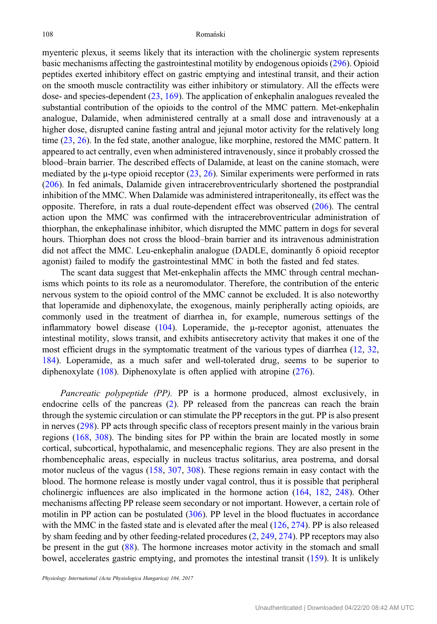myenteric plexus, it seems likely that its interaction with the cholinergic system represents basic mechanisms affecting the gastrointestinal motility by endogenous opioids ([296\)](#page-31-0). Opioid peptides exerted inhibitory effect on gastric emptying and intestinal transit, and their action on the smooth muscle contractility was either inhibitory or stimulatory. All the effects were dose- and species-dependent ([23,](#page-20-0) [169\)](#page-26-0). The application of enkephalin analogues revealed the substantial contribution of the opioids to the control of the MMC pattern. Met-enkephalin analogue, Dalamide, when administered centrally at a small dose and intravenously at a higher dose, disrupted canine fasting antral and jejunal motor activity for the relatively long time [\(23](#page-20-0), [26](#page-20-0)). In the fed state, another analogue, like morphine, restored the MMC pattern. It appeared to act centrally, even when administered intravenously, since it probably crossed the blood–brain barrier. The described effects of Dalamide, at least on the canine stomach, were mediated by the  $\mu$ -type opioid receptor ([23,](#page-20-0) [26\)](#page-20-0). Similar experiments were performed in rats [\(206](#page-27-0)). In fed animals, Dalamide given intracerebroventricularly shortened the postprandial inhibition of the MMC. When Dalamide was administered intraperitoneally, its effect was the opposite. Therefore, in rats a dual route-dependent effect was observed [\(206](#page-27-0)). The central action upon the MMC was confirmed with the intracerebroventricular administration of thiorphan, the enkephalinase inhibitor, which disrupted the MMC pattern in dogs for several hours. Thiorphan does not cross the blood–brain barrier and its intravenous administration did not affect the MMC. Leu-enkephalin analogue (DADLE, dominantly δ opioid receptor agonist) failed to modify the gastrointestinal MMC in both the fasted and fed states.

The scant data suggest that Met-enkephalin affects the MMC through central mechanisms which points to its role as a neuromodulator. Therefore, the contribution of the enteric nervous system to the opioid control of the MMC cannot be excluded. It is also noteworthy that loperamide and diphenoxylate, the exogenous, mainly peripherally acting opioids, are commonly used in the treatment of diarrhea in, for example, numerous settings of the inflammatory bowel disease  $(104)$  $(104)$ . Loperamide, the  $\mu$ -receptor agonist, attenuates the intestinal motility, slows transit, and exhibits antisecretory activity that makes it one of the most efficient drugs in the symptomatic treatment of the various types of diarrhea ([12,](#page-20-0) [32,](#page-21-0) [184](#page-26-0)). Loperamide, as a much safer and well-tolerated drug, seems to be superior to diphenoxylate [\(108](#page-23-0)). Diphenoxylate is often applied with atropine [\(276](#page-30-0)).

Pancreatic polypeptide (PP). PP is a hormone produced, almost exclusively, in endocrine cells of the pancreas [\(2](#page-19-0)). PP released from the pancreas can reach the brain through the systemic circulation or can stimulate the PP receptors in the gut. PP is also present in nerves [\(298](#page-31-0)). PP acts through specific class of receptors present mainly in the various brain regions [\(168](#page-26-0), [308](#page-31-0)). The binding sites for PP within the brain are located mostly in some cortical, subcortical, hypothalamic, and mesencephalic regions. They are also present in the rhombencephalic areas, especially in nucleus tractus solitarius, area postrema, and dorsal motor nucleus of the vagus [\(158](#page-25-0), [307,](#page-31-0) [308\)](#page-31-0). These regions remain in easy contact with the blood. The hormone release is mostly under vagal control, thus it is possible that peripheral cholinergic influences are also implicated in the hormone action ([164,](#page-26-0) [182,](#page-26-0) [248](#page-29-0)). Other mechanisms affecting PP release seem secondary or not important. However, a certain role of motilin in PP action can be postulated ([306\)](#page-31-0). PP level in the blood fluctuates in accordance with the MMC in the fasted state and is elevated after the meal  $(126, 274)$  $(126, 274)$  $(126, 274)$  $(126, 274)$ . PP is also released by sham feeding and by other feeding-related procedures ([2](#page-19-0), [249](#page-29-0), [274\)](#page-30-0). PP receptors may also be present in the gut ([88\)](#page-23-0). The hormone increases motor activity in the stomach and small bowel, accelerates gastric emptying, and promotes the intestinal transit ([159\)](#page-25-0). It is unlikely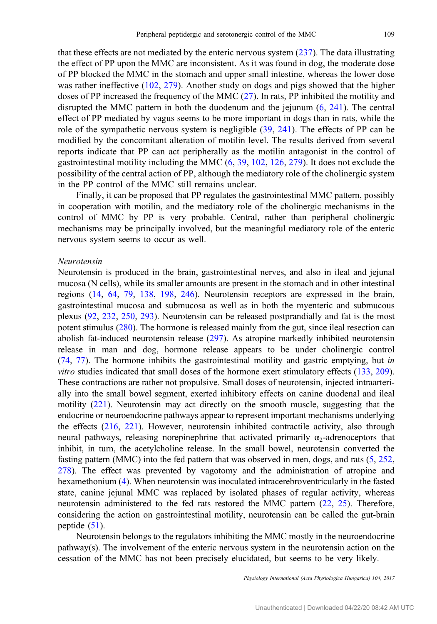that these effects are not mediated by the enteric nervous system  $(237)$ . The data illustrating the effect of PP upon the MMC are inconsistent. As it was found in dog, the moderate dose of PP blocked the MMC in the stomach and upper small intestine, whereas the lower dose was rather ineffective ([102,](#page-23-0) [279\)](#page-30-0). Another study on dogs and pigs showed that the higher doses of PP increased the frequency of the MMC ([27](#page-20-0)). In rats, PP inhibited the motility and disrupted the MMC pattern in both the duodenum and the jejunum ([6,](#page-20-0) [241](#page-28-0)). The central effect of PP mediated by vagus seems to be more important in dogs than in rats, while the role of the sympathetic nervous system is negligible ([39,](#page-21-0) [241\)](#page-28-0). The effects of PP can be modified by the concomitant alteration of motilin level. The results derived from several reports indicate that PP can act peripherally as the motilin antagonist in the control of gastrointestinal motility including the MMC [\(6](#page-20-0), [39,](#page-21-0) [102](#page-23-0), [126,](#page-24-0) [279\)](#page-30-0). It does not exclude the possibility of the central action of PP, although the mediatory role of the cholinergic system in the PP control of the MMC still remains unclear.

Finally, it can be proposed that PP regulates the gastrointestinal MMC pattern, possibly in cooperation with motilin, and the mediatory role of the cholinergic mechanisms in the control of MMC by PP is very probable. Central, rather than peripheral cholinergic mechanisms may be principally involved, but the meaningful mediatory role of the enteric nervous system seems to occur as well.

### Neurotensin

Neurotensin is produced in the brain, gastrointestinal nerves, and also in ileal and jejunal mucosa (N cells), while its smaller amounts are present in the stomach and in other intestinal regions [\(14](#page-20-0), [64,](#page-22-0) [79,](#page-22-0) [138](#page-25-0), [198,](#page-27-0) [246](#page-29-0)). Neurotensin receptors are expressed in the brain, gastrointestinal mucosa and submucosa as well as in both the myenteric and submucous plexus [\(92,](#page-23-0) [232](#page-28-0), [250](#page-29-0), [293\)](#page-30-0). Neurotensin can be released postprandially and fat is the most potent stimulus ([280\)](#page-30-0). The hormone is released mainly from the gut, since ileal resection can abolish fat-induced neurotensin release [\(297](#page-31-0)). As atropine markedly inhibited neurotensin release in man and dog, hormone release appears to be under cholinergic control [\(74](#page-22-0), [77\)](#page-22-0). The hormone inhibits the gastrointestinal motility and gastric emptying, but in vitro studies indicated that small doses of the hormone exert stimulatory effects ([133,](#page-24-0) [209](#page-27-0)). These contractions are rather not propulsive. Small doses of neurotensin, injected intraarterially into the small bowel segment, exerted inhibitory effects on canine duodenal and ileal motility ([221\)](#page-28-0). Neurotensin may act directly on the smooth muscle, suggesting that the endocrine or neuroendocrine pathways appear to represent important mechanisms underlying the effects ([216,](#page-27-0) [221\)](#page-28-0). However, neurotensin inhibited contractile activity, also through neural pathways, releasing norepinephrine that activated primarily  $\alpha_2$ -adrenoceptors that inhibit, in turn, the acetylcholine release. In the small bowel, neurotensin converted the fasting pattern (MMC) into the fed pattern that was observed in men, dogs, and rats [\(5](#page-20-0), [252,](#page-29-0) [278](#page-30-0)). The effect was prevented by vagotomy and the administration of atropine and hexamethonium ([4\)](#page-20-0). When neurotensin was inoculated intracerebroventricularly in the fasted state, canine jejunal MMC was replaced by isolated phases of regular activity, whereas neurotensin administered to the fed rats restored the MMC pattern [\(22](#page-20-0), [25](#page-20-0)). Therefore, considering the action on gastrointestinal motility, neurotensin can be called the gut-brain peptide ([51\)](#page-21-0).

Neurotensin belongs to the regulators inhibiting the MMC mostly in the neuroendocrine pathway(s). The involvement of the enteric nervous system in the neurotensin action on the cessation of the MMC has not been precisely elucidated, but seems to be very likely.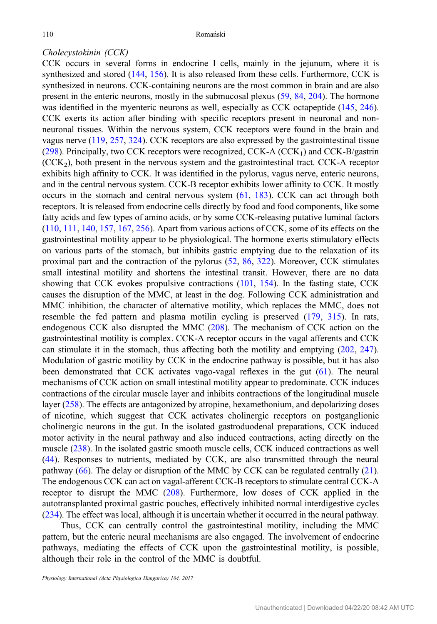# Cholecystokinin (CCK)

CCK occurs in several forms in endocrine I cells, mainly in the jejunum, where it is synthesized and stored ([144,](#page-25-0) [156](#page-25-0)). It is also released from these cells. Furthermore, CCK is synthesized in neurons. CCK-containing neurons are the most common in brain and are also present in the enteric neurons, mostly in the submucosal plexus ([59](#page-22-0), [84,](#page-23-0) [204\)](#page-27-0). The hormone was identified in the myenteric neurons as well, especially as CCK octapeptide ([145,](#page-25-0) [246](#page-29-0)). CCK exerts its action after binding with specific receptors present in neuronal and nonneuronal tissues. Within the nervous system, CCK receptors were found in the brain and vagus nerve ([119,](#page-24-0) [257,](#page-29-0) [324](#page-32-0)). CCK receptors are also expressed by the gastrointestinal tissue [\(298](#page-31-0)). Principally, two CCK receptors were recognized, CCK-A (CCK<sub>1</sub>) and CCK-B/gastrin  $(CCK<sub>2</sub>)$ , both present in the nervous system and the gastrointestinal tract. CCK-A receptor exhibits high affinity to CCK. It was identified in the pylorus, vagus nerve, enteric neurons, and in the central nervous system. CCK-B receptor exhibits lower affinity to CCK. It mostly occurs in the stomach and central nervous system ([61,](#page-22-0) [183](#page-26-0)). CCK can act through both receptors. It is released from endocrine cells directly by food and food components, like some fatty acids and few types of amino acids, or by some CCK-releasing putative luminal factors [\(110](#page-23-0), [111](#page-23-0), [140,](#page-25-0) [157,](#page-25-0) [167](#page-26-0), [256](#page-29-0)). Apart from various actions of CCK, some of its effects on the gastrointestinal motility appear to be physiological. The hormone exerts stimulatory effects on various parts of the stomach, but inhibits gastric emptying due to the relaxation of its proximal part and the contraction of the pylorus [\(52](#page-21-0), [86](#page-23-0), [322](#page-32-0)). Moreover, CCK stimulates small intestinal motility and shortens the intestinal transit. However, there are no data showing that CCK evokes propulsive contractions [\(101](#page-23-0), [154](#page-25-0)). In the fasting state, CCK causes the disruption of the MMC, at least in the dog. Following CCK administration and MMC inhibition, the character of alternative motility, which replaces the MMC, does not resemble the fed pattern and plasma motilin cycling is preserved [\(179](#page-26-0), [315\)](#page-31-0). In rats, endogenous CCK also disrupted the MMC ([208\)](#page-27-0). The mechanism of CCK action on the gastrointestinal motility is complex. CCK-A receptor occurs in the vagal afferents and CCK can stimulate it in the stomach, thus affecting both the motility and emptying [\(202](#page-27-0), [247](#page-29-0)). Modulation of gastric motility by CCK in the endocrine pathway is possible, but it has also been demonstrated that CCK activates vago-vagal reflexes in the gut [\(61](#page-22-0)). The neural mechanisms of CCK action on small intestinal motility appear to predominate. CCK induces contractions of the circular muscle layer and inhibits contractions of the longitudinal muscle layer [\(258](#page-29-0)). The effects are antagonized by atropine, hexamethonium, and depolarizing doses of nicotine, which suggest that CCK activates cholinergic receptors on postganglionic cholinergic neurons in the gut. In the isolated gastroduodenal preparations, CCK induced motor activity in the neural pathway and also induced contractions, acting directly on the muscle ([238\)](#page-28-0). In the isolated gastric smooth muscle cells, CCK induced contractions as well [\(44](#page-21-0)). Responses to nutrients, mediated by CCK, are also transmitted through the neural pathway  $(66)$  $(66)$ . The delay or disruption of the MMC by CCK can be regulated centrally  $(21)$  $(21)$ . The endogenous CCK can act on vagal-afferent CCK-B receptors to stimulate central CCK-A receptor to disrupt the MMC [\(208](#page-27-0)). Furthermore, low doses of CCK applied in the autotransplanted proximal gastric pouches, effectively inhibited normal interdigestive cycles [\(234](#page-28-0)). The effect was local, although it is uncertain whether it occurred in the neural pathway.

Thus, CCK can centrally control the gastrointestinal motility, including the MMC pattern, but the enteric neural mechanisms are also engaged. The involvement of endocrine pathways, mediating the effects of CCK upon the gastrointestinal motility, is possible, although their role in the control of the MMC is doubtful.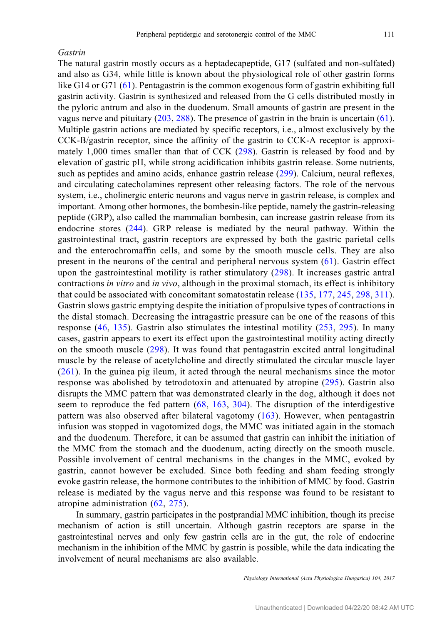Gastrin

The natural gastrin mostly occurs as a heptadecapeptide, G17 (sulfated and non-sulfated) and also as G34, while little is known about the physiological role of other gastrin forms like G14 or G71 ([61\)](#page-22-0). Pentagastrin is the common exogenous form of gastrin exhibiting full gastrin activity. Gastrin is synthesized and released from the G cells distributed mostly in the pyloric antrum and also in the duodenum. Small amounts of gastrin are present in the vagus nerve and pituitary [\(203,](#page-27-0) [288](#page-30-0)). The presence of gastrin in the brain is uncertain ([61](#page-22-0)). Multiple gastrin actions are mediated by specific receptors, i.e., almost exclusively by the CCK-B/gastrin receptor, since the affinity of the gastrin to CCK-A receptor is approximately 1,000 times smaller than that of CCK ([298](#page-31-0)). Gastrin is released by food and by elevation of gastric pH, while strong acidification inhibits gastrin release. Some nutrients, such as peptides and amino acids, enhance gastrin release [\(299\)](#page-31-0). Calcium, neural reflexes, and circulating catecholamines represent other releasing factors. The role of the nervous system, i.e., cholinergic enteric neurons and vagus nerve in gastrin release, is complex and important. Among other hormones, the bombesin-like peptide, namely the gastrin-releasing peptide (GRP), also called the mammalian bombesin, can increase gastrin release from its endocrine stores [\(244\)](#page-29-0). GRP release is mediated by the neural pathway. Within the gastrointestinal tract, gastrin receptors are expressed by both the gastric parietal cells and the enterochromaffin cells, and some by the smooth muscle cells. They are also present in the neurons of the central and peripheral nervous system [\(61\)](#page-22-0). Gastrin effect upon the gastrointestinal motility is rather stimulatory ([298\)](#page-31-0). It increases gastric antral contractions in vitro and in vivo, although in the proximal stomach, its effect is inhibitory that could be associated with concomitant somatostatin release [\(135,](#page-24-0) [177](#page-26-0), [245,](#page-29-0) [298,](#page-31-0) [311](#page-31-0)). Gastrin slows gastric emptying despite the initiation of propulsive types of contractions in the distal stomach. Decreasing the intragastric pressure can be one of the reasons of this response  $(46, 135)$  $(46, 135)$  $(46, 135)$ . Gastrin also stimulates the intestinal motility  $(253, 295)$  $(253, 295)$  $(253, 295)$  $(253, 295)$ . In many cases, gastrin appears to exert its effect upon the gastrointestinal motility acting directly on the smooth muscle [\(298\)](#page-31-0). It was found that pentagastrin excited antral longitudinal muscle by the release of acetylcholine and directly stimulated the circular muscle layer [\(261](#page-29-0)). In the guinea pig ileum, it acted through the neural mechanisms since the motor response was abolished by tetrodotoxin and attenuated by atropine ([295\)](#page-31-0). Gastrin also disrupts the MMC pattern that was demonstrated clearly in the dog, although it does not seem to reproduce the fed pattern [\(68,](#page-22-0) [163,](#page-26-0) [304](#page-31-0)). The disruption of the interdigestive pattern was also observed after bilateral vagotomy [\(163\)](#page-26-0). However, when pentagastrin infusion was stopped in vagotomized dogs, the MMC was initiated again in the stomach and the duodenum. Therefore, it can be assumed that gastrin can inhibit the initiation of the MMC from the stomach and the duodenum, acting directly on the smooth muscle. Possible involvement of central mechanisms in the changes in the MMC, evoked by gastrin, cannot however be excluded. Since both feeding and sham feeding strongly evoke gastrin release, the hormone contributes to the inhibition of MMC by food. Gastrin release is mediated by the vagus nerve and this response was found to be resistant to atropine administration [\(62,](#page-22-0) [275\)](#page-30-0).

In summary, gastrin participates in the postprandial MMC inhibition, though its precise mechanism of action is still uncertain. Although gastrin receptors are sparse in the gastrointestinal nerves and only few gastrin cells are in the gut, the role of endocrine mechanism in the inhibition of the MMC by gastrin is possible, while the data indicating the involvement of neural mechanisms are also available.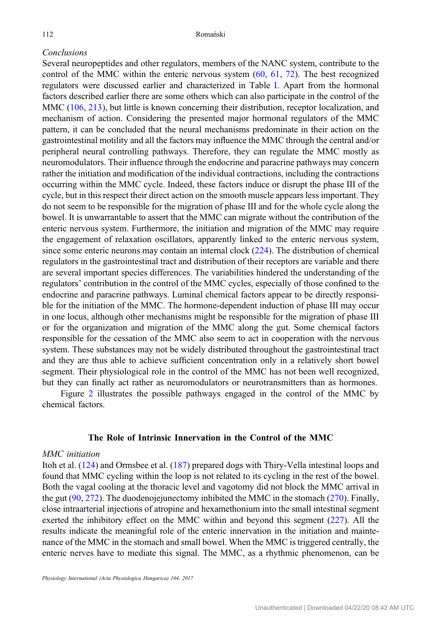## Conclusions

Several neuropeptides and other regulators, members of the NANC system, contribute to the control of the MMC within the enteric nervous system  $(60, 61, 72)$  $(60, 61, 72)$  $(60, 61, 72)$  $(60, 61, 72)$  $(60, 61, 72)$  $(60, 61, 72)$  $(60, 61, 72)$ . The best recognized regulators were discussed earlier and characterized in Table [I.](#page-16-0) Apart from the hormonal factors described earlier there are some others which can also participate in the control of the MMC [\(106](#page-23-0), [213](#page-27-0)), but little is known concerning their distribution, receptor localization, and mechanism of action. Considering the presented major hormonal regulators of the MMC pattern, it can be concluded that the neural mechanisms predominate in their action on the gastrointestinal motility and all the factors may influence the MMC through the central and/or peripheral neural controlling pathways. Therefore, they can regulate the MMC mostly as neuromodulators. Their influence through the endocrine and paracrine pathways may concern rather the initiation and modification of the individual contractions, including the contractions occurring within the MMC cycle. Indeed, these factors induce or disrupt the phase III of the cycle, but in this respect their direct action on the smooth muscle appears less important. They do not seem to be responsible for the migration of phase III and for the whole cycle along the bowel. It is unwarrantable to assert that the MMC can migrate without the contribution of the enteric nervous system. Furthermore, the initiation and migration of the MMC may require the engagement of relaxation oscillators, apparently linked to the enteric nervous system, since some enteric neurons may contain an internal clock ([224\)](#page-28-0). The distribution of chemical regulators in the gastrointestinal tract and distribution of their receptors are variable and there are several important species differences. The variabilities hindered the understanding of the regulators' contribution in the control of the MMC cycles, especially of those confined to the endocrine and paracrine pathways. Luminal chemical factors appear to be directly responsible for the initiation of the MMC. The hormone-dependent induction of phase III may occur in one locus, although other mechanisms might be responsible for the migration of phase III or for the organization and migration of the MMC along the gut. Some chemical factors responsible for the cessation of the MMC also seem to act in cooperation with the nervous system. These substances may not be widely distributed throughout the gastrointestinal tract and they are thus able to achieve sufficient concentration only in a relatively short bowel segment. Their physiological role in the control of the MMC has not been well recognized, but they can finally act rather as neuromodulators or neurotransmitters than as hormones.

Figure [2](#page-17-0) illustrates the possible pathways engaged in the control of the MMC by chemical factors.

# The Role of Intrinsic Innervation in the Control of the MMC

# MMC initiation

Itoh et al. ([124\)](#page-24-0) and Ormsbee et al. ([187\)](#page-26-0) prepared dogs with Thiry-Vella intestinal loops and found that MMC cycling within the loop is not related to its cycling in the rest of the bowel. Both the vagal cooling at the thoracic level and vagotomy did not block the MMC arrival in the gut  $(90, 272)$  $(90, 272)$  $(90, 272)$ . The duodenojejunectomy inhibited the MMC in the stomach  $(270)$  $(270)$ . Finally, close intraarterial injections of atropine and hexamethonium into the small intestinal segment exerted the inhibitory effect on the MMC within and beyond this segment [\(227](#page-28-0)). All the results indicate the meaningful role of the enteric innervation in the initiation and maintenance of the MMC in the stomach and small bowel. When the MMC is triggered centrally, the enteric nerves have to mediate this signal. The MMC, as a rhythmic phenomenon, can be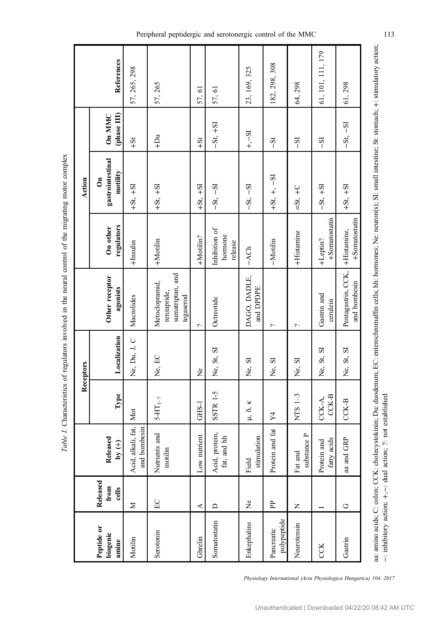<span id="page-16-0"></span>

|                                 |                           |                                    |                               | Receptors    |                                                                |                                     | Action                            |                       |                   |
|---------------------------------|---------------------------|------------------------------------|-------------------------------|--------------|----------------------------------------------------------------|-------------------------------------|-----------------------------------|-----------------------|-------------------|
| Peptide or<br>biogenic<br>amine | Released<br>from<br>cells | Released<br>by $(+)$               | Type                          | Localization | Other receptor<br>agonists                                     | regulators<br>On other              | gastrointestinal<br>motility<br>ā | (phase III)<br>On MMC | References        |
| Motilin                         | Σ                         | Acid, alkali, fat,<br>and bombesin | Mot                           | Ne, Du, J, C | Macrolides                                                     | $+$ Insulin                         | $+St, +SI$                        | $\frac{5}{5}$         | 57, 265, 298      |
| Serotonin                       | $E_{\rm C}$               | Nutrients and<br>motilin           | $5-HT_{1-7}$                  | Ne, EC       | sumatriptan, and<br>Metoclopramid,<br>renzapride,<br>tegaserod | +Motilin                            | $+St, +SI$                        | $+Du$                 | 57, 265           |
| Ghrelin                         | ≺                         | Low nutrient                       | GHS-1                         | ž            | $\sim$                                                         | +Motilin?                           | $+St, +SI$                        | $\frac{5}{5}$         | 57, 61            |
| Somatostatin                    | $\mathsf{D}$              | Acid, protein,<br>fat, and hh      | SSTR 1-5                      | Ne, St, SI   | Octreotide                                                     | Inhibition of<br>hormone<br>release | $-St, -SI$                        | $-St, +S1$            | 57, 61            |
| Enkephalins                     | ž                         | stimulation<br>Field               | $\upmu$ , $\delta$ , $\kappa$ | Ne, SI       | DAGO, DADLE,<br>and DPDPE                                      | $-ACh$                              | $-St$ , $-SI$                     | $+,-S1$               | 23, 169, 325      |
| polypeptide<br>Pancreatic       | Ê                         | Protein and fat                    | Y4                            | Ne, SI       | ç.                                                             | -Motilin                            | $+St, +, -SI$                     | รั                    | 182, 298, 308     |
| Neurotensin                     | Z                         | $substance$ $\cal P$<br>and<br>Fat | $NTS1-3$                      | Ne, SI       | ç.                                                             | +Histamine                          | $-5t, +C$                         | $\overline{S}$        | 64, 298           |
| CCK                             |                           | fatty acids<br>Protein and         | CCK-B<br>CCK-A,               | Ne, St, SI   | Gastrin and<br>cerulein                                        | +Somatostatin<br>+Leptin?           | $-St, +S1$                        | $-51$                 | 61, 101, 111, 179 |
| Gastrin                         | G                         | aa and GRP                         | CCK-B                         | Ne, St, SI   | Pentagastrin, CCK,<br>and bombesin                             | +Somatostatin<br>+Histamine,        | $+St, +SI$                        | $-St, -S1$            | 61, 298           |
|                                 |                           |                                    |                               |              |                                                                |                                     |                                   |                       |                   |

Table I. Characteristics of regulators involved in the neural control of the migrating motor complex Table I. Characteristics of regulators involved in the neural control of the migrating motor complex

Physiology International (Acta Physiologica Hungarica) 104, 2017

+: stimulatory action;

aa: amino acids; C: colon; CCK: cholecystokinin; Du: duodenum; EC: enterochromaffin cells; hh: hormones; Ne: neuron(s); SI: small intestine; St: stomach;

aa: amino acids; C: colon; CCK: cholecystokinin; Du: duodenum; EC: enterochromaffin cells; lth: hormones; Ne: neuron(s); SI: small intestine; St: stomach; +: stimulatory action;<br>--: inhibitory action; +,--: dual action; ?:

−: inhibitory action;

+,−: dual action; ?: not established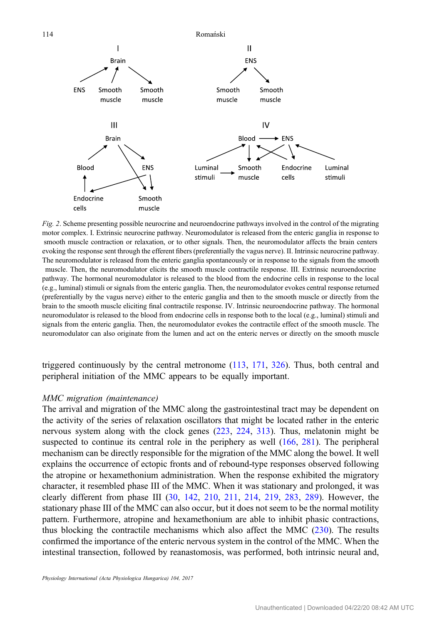<span id="page-17-0"></span>

Fig. 2. Scheme presenting possible neurocrine and neuroendocrine pathways involved in the control of the migrating motor complex. I. Extrinsic neurocrine pathway. Neuromodulator is released from the enteric ganglia in response to smooth muscle contraction or relaxation, or to other signals. Then, the neuromodulator affects the brain centers evoking the response sent through the efferent fibers (preferentially the vagus nerve). II. Intrinsic neurocrine pathway. The neuromodulator is released from the enteric ganglia spontaneously or in response to the signals from the smooth muscle. Then, the neuromodulator elicits the smooth muscle contractile response. III. Extrinsic neuroendocrine pathway. The hormonal neuromodulator is released to the blood from the endocrine cells in response to the local (e.g., luminal) stimuli or signals from the enteric ganglia. Then, the neuromodulator evokes central response returned (preferentially by the vagus nerve) either to the enteric ganglia and then to the smooth muscle or directly from the brain to the smooth muscle eliciting final contractile response. IV. Intrinsic neuroendocrine pathway. The hormonal neuromodulator is released to the blood from endocrine cells in response both to the local (e.g., luminal) stimuli and signals from the enteric ganglia. Then, the neuromodulator evokes the contractile effect of the smooth muscle. The neuromodulator can also originate from the lumen and act on the enteric nerves or directly on the smooth muscle

triggered continuously by the central metronome [\(113](#page-24-0), [171](#page-26-0), [326\)](#page-32-0). Thus, both central and peripheral initiation of the MMC appears to be equally important.

### MMC migration (maintenance)

The arrival and migration of the MMC along the gastrointestinal tract may be dependent on the activity of the series of relaxation oscillators that might be located rather in the enteric nervous system along with the clock genes ([223,](#page-28-0) [224,](#page-28-0) [313\)](#page-31-0). Thus, melatonin might be suspected to continue its central role in the periphery as well [\(166](#page-26-0), [281\)](#page-30-0). The peripheral mechanism can be directly responsible for the migration of the MMC along the bowel. It well explains the occurrence of ectopic fronts and of rebound-type responses observed following the atropine or hexamethonium administration. When the response exhibited the migratory character, it resembled phase III of the MMC. When it was stationary and prolonged, it was clearly different from phase III ([30,](#page-21-0) [142,](#page-25-0) [210,](#page-27-0) [211,](#page-27-0) [214](#page-27-0), [219](#page-28-0), [283](#page-30-0), [289](#page-30-0)). However, the stationary phase III of the MMC can also occur, but it does not seem to be the normal motility pattern. Furthermore, atropine and hexamethonium are able to inhibit phasic contractions, thus blocking the contractile mechanisms which also affect the MMC ([230\)](#page-28-0). The results confirmed the importance of the enteric nervous system in the control of the MMC. When the intestinal transection, followed by reanastomosis, was performed, both intrinsic neural and,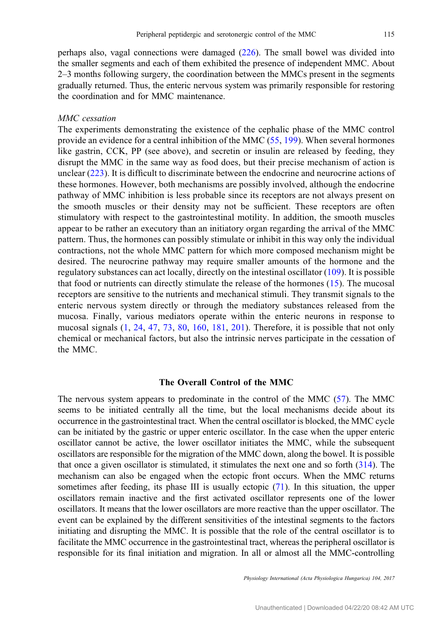perhaps also, vagal connections were damaged ([226\)](#page-28-0). The small bowel was divided into the smaller segments and each of them exhibited the presence of independent MMC. About 2–3 months following surgery, the coordination between the MMCs present in the segments gradually returned. Thus, the enteric nervous system was primarily responsible for restoring the coordination and for MMC maintenance.

# MMC cessation

The experiments demonstrating the existence of the cephalic phase of the MMC control provide an evidence for a central inhibition of the MMC [\(55](#page-21-0), [199\)](#page-27-0). When several hormones like gastrin, CCK, PP (see above), and secretin or insulin are released by feeding, they disrupt the MMC in the same way as food does, but their precise mechanism of action is unclear [\(223\)](#page-28-0). It is difficult to discriminate between the endocrine and neurocrine actions of these hormones. However, both mechanisms are possibly involved, although the endocrine pathway of MMC inhibition is less probable since its receptors are not always present on the smooth muscles or their density may not be sufficient. These receptors are often stimulatory with respect to the gastrointestinal motility. In addition, the smooth muscles appear to be rather an executory than an initiatory organ regarding the arrival of the MMC pattern. Thus, the hormones can possibly stimulate or inhibit in this way only the individual contractions, not the whole MMC pattern for which more composed mechanism might be desired. The neurocrine pathway may require smaller amounts of the hormone and the regulatory substances can act locally, directly on the intestinal oscillator [\(109\)](#page-23-0). It is possible that food or nutrients can directly stimulate the release of the hormones [\(15](#page-20-0)). The mucosal receptors are sensitive to the nutrients and mechanical stimuli. They transmit signals to the enteric nervous system directly or through the mediatory substances released from the mucosa. Finally, various mediators operate within the enteric neurons in response to mucosal signals  $(1, 24, 47, 73, 80, 160, 181, 201)$  $(1, 24, 47, 73, 80, 160, 181, 201)$  $(1, 24, 47, 73, 80, 160, 181, 201)$  $(1, 24, 47, 73, 80, 160, 181, 201)$  $(1, 24, 47, 73, 80, 160, 181, 201)$  $(1, 24, 47, 73, 80, 160, 181, 201)$  $(1, 24, 47, 73, 80, 160, 181, 201)$  $(1, 24, 47, 73, 80, 160, 181, 201)$  $(1, 24, 47, 73, 80, 160, 181, 201)$  $(1, 24, 47, 73, 80, 160, 181, 201)$  $(1, 24, 47, 73, 80, 160, 181, 201)$  $(1, 24, 47, 73, 80, 160, 181, 201)$  $(1, 24, 47, 73, 80, 160, 181, 201)$  $(1, 24, 47, 73, 80, 160, 181, 201)$  $(1, 24, 47, 73, 80, 160, 181, 201)$  $(1, 24, 47, 73, 80, 160, 181, 201)$  $(1, 24, 47, 73, 80, 160, 181, 201)$ . Therefore, it is possible that not only chemical or mechanical factors, but also the intrinsic nerves participate in the cessation of the MMC.

### The Overall Control of the MMC

The nervous system appears to predominate in the control of the MMC ([57\)](#page-22-0). The MMC seems to be initiated centrally all the time, but the local mechanisms decide about its occurrence in the gastrointestinal tract. When the central oscillator is blocked, the MMC cycle can be initiated by the gastric or upper enteric oscillator. In the case when the upper enteric oscillator cannot be active, the lower oscillator initiates the MMC, while the subsequent oscillators are responsible for the migration of the MMC down, along the bowel. It is possible that once a given oscillator is stimulated, it stimulates the next one and so forth ([314\)](#page-31-0). The mechanism can also be engaged when the ectopic front occurs. When the MMC returns sometimes after feeding, its phase III is usually ectopic  $(71)$  $(71)$ . In this situation, the upper oscillators remain inactive and the first activated oscillator represents one of the lower oscillators. It means that the lower oscillators are more reactive than the upper oscillator. The event can be explained by the different sensitivities of the intestinal segments to the factors initiating and disrupting the MMC. It is possible that the role of the central oscillator is to facilitate the MMC occurrence in the gastrointestinal tract, whereas the peripheral oscillator is responsible for its final initiation and migration. In all or almost all the MMC-controlling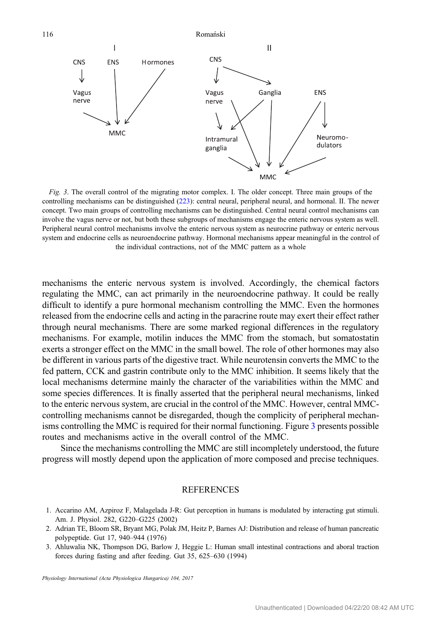<span id="page-19-0"></span>116 Romański Ī  $\mathbf{H}$ CNS CNS **ENS Hormones** Vagus Vagus Ganglia **ENS** nerve nerve **MMC** Neuromo-Intramural dulators ganglia **MMC** 

Fig. 3. The overall control of the migrating motor complex. I. The older concept. Three main groups of the controlling mechanisms can be distinguished [\(223](#page-28-0)): central neural, peripheral neural, and hormonal. II. The newer concept. Two main groups of controlling mechanisms can be distinguished. Central neural control mechanisms can involve the vagus nerve or not, but both these subgroups of mechanisms engage the enteric nervous system as well. Peripheral neural control mechanisms involve the enteric nervous system as neurocrine pathway or enteric nervous system and endocrine cells as neuroendocrine pathway. Hormonal mechanisms appear meaningful in the control of the individual contractions, not of the MMC pattern as a whole

mechanisms the enteric nervous system is involved. Accordingly, the chemical factors regulating the MMC, can act primarily in the neuroendocrine pathway. It could be really difficult to identify a pure hormonal mechanism controlling the MMC. Even the hormones released from the endocrine cells and acting in the paracrine route may exert their effect rather through neural mechanisms. There are some marked regional differences in the regulatory mechanisms. For example, motilin induces the MMC from the stomach, but somatostatin exerts a stronger effect on the MMC in the small bowel. The role of other hormones may also be different in various parts of the digestive tract. While neurotensin converts the MMC to the fed pattern, CCK and gastrin contribute only to the MMC inhibition. It seems likely that the local mechanisms determine mainly the character of the variabilities within the MMC and some species differences. It is finally asserted that the peripheral neural mechanisms, linked to the enteric nervous system, are crucial in the control of the MMC. However, central MMCcontrolling mechanisms cannot be disregarded, though the complicity of peripheral mechanisms controlling the MMC is required for their normal functioning. Figure 3 presents possible routes and mechanisms active in the overall control of the MMC.

Since the mechanisms controlling the MMC are still incompletely understood, the future progress will mostly depend upon the application of more composed and precise techniques.

# REFERENCES

- 1. Accarino AM, Azpiroz F, Malagelada J-R: Gut perception in humans is modulated by interacting gut stimuli. Am. J. Physiol. 282, G220–G225 (2002)
- 2. Adrian TE, Bloom SR, Bryant MG, Polak JM, Heitz P, Barnes AJ: Distribution and release of human pancreatic polypeptide. Gut 17, 940–944 (1976)
- 3. Ahluwalia NK, Thompson DG, Barlow J, Heggie L: Human small intestinal contractions and aboral traction forces during fasting and after feeding. Gut 35, 625–630 (1994)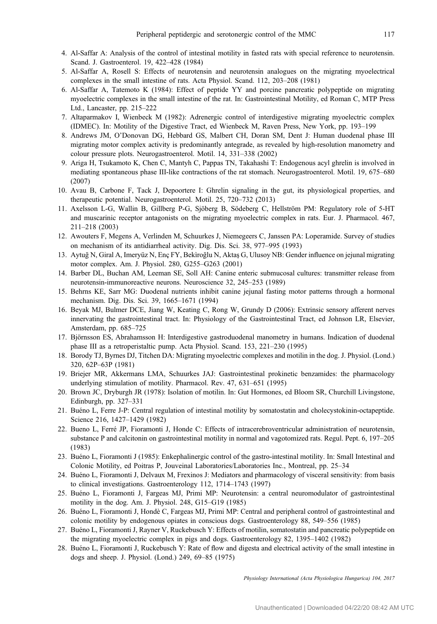- <span id="page-20-0"></span>4. Al-Saffar A: Analysis of the control of intestinal motility in fasted rats with special reference to neurotensin. Scand. J. Gastroenterol. 19, 422–428 (1984)
- 5. Al-Saffar A, Rosell S: Effects of neurotensin and neurotensin analogues on the migrating myoelectrical complexes in the small intestine of rats. Acta Physiol. Scand. 112, 203–208 (1981)
- 6. Al-Saffar A, Tatemoto K (1984): Effect of peptide YY and porcine pancreatic polypeptide on migrating myoelectric complexes in the small intestine of the rat. In: Gastrointestinal Motility, ed Roman C, MTP Press Ltd., Lancaster, pp. 215–222
- 7. Altaparmakov I, Wienbeck M (1982): Adrenergic control of interdigestive migrating myoelectric complex (IDMEC). In: Motility of the Digestive Tract, ed Wienbeck M, Raven Press, New York, pp. 193–199
- 8. Andrews JM, O'Donovan DG, Hebbard GS, Malbert CH, Doran SM, Dent J: Human duodenal phase III migrating motor complex activity is predominantly antegrade, as revealed by high-resolution manometry and colour pressure plots. Neurogastroenterol. Motil. 14, 331–338 (2002)
- 9. Ariga H, Tsukamoto K, Chen C, Mantyh C, Pappas TN, Takahashi T: Endogenous acyl ghrelin is involved in mediating spontaneous phase III-like contractions of the rat stomach. Neurogastroenterol. Motil. 19, 675–680 (2007)
- 10. Avau B, Carbone F, Tack J, Depoortere I: Ghrelin signaling in the gut, its physiological properties, and therapeutic potential. Neurogastroenterol. Motil. 25, 720–732 (2013)
- 11. Axelsson L-G, Wallin B, Gillberg P-G, Sjöberg B, Södeberg C, Hellström PM: Regulatory role of 5-HT and muscarinic receptor antagonists on the migrating myoelectric complex in rats. Eur. J. Pharmacol. 467, 211–218 (2003)
- 12. Awouters F, Megens A, Verlinden M, Schuurkes J, Niemegeers C, Janssen PA: Loperamide. Survey of studies on mechanism of its antidiarrheal activity. Dig. Dis. Sci. 38, 977–995 (1993)
- 13. Aytuğ N, Giral A, Imeryüz N, Enç FY, Bekìroğlu N, Aktaş G, Ulusoy NB: Gender influence on jejunal migrating motor complex. Am. J. Physiol. 280, G255–G263 (2001)
- 14. Barber DL, Buchan AM, Leeman SE, Soll AH: Canine enteric submucosal cultures: transmitter release from neurotensin-immunoreactive neurons. Neuroscience 32, 245–253 (1989)
- 15. Behrns KE, Sarr MG: Duodenal nutrients inhibit canine jejunal fasting motor patterns through a hormonal mechanism. Dig. Dis. Sci. 39, 1665–1671 (1994)
- 16. Beyak MJ, Bulmer DCE, Jiang W, Keating C, Rong W, Grundy D (2006): Extrinsic sensory afferent nerves innervating the gastrointestinal tract. In: Physiology of the Gastrointestinal Tract, ed Johnson LR, Elsevier, Amsterdam, pp. 685–725
- 17. Björnsson ES, Abrahamsson H: Interdigestive gastroduodenal manometry in humans. Indication of duodenal phase III as a retroperistaltic pump. Acta Physiol. Scand. 153, 221–230 (1995)
- 18. Borody TJ, Byrnes DJ, Titchen DA: Migrating myoelectric complexes and motilin in the dog. J. Physiol. (Lond.) 320, 62P–63P (1981)
- 19. Briejer MR, Akkermans LMA, Schuurkes JAJ: Gastrointestinal prokinetic benzamides: the pharmacology underlying stimulation of motility. Pharmacol. Rev. 47, 631–651 (1995)
- 20. Brown JC, Dryburgh JR (1978): Isolation of motilin. In: Gut Hormones, ed Bloom SR, Churchill Livingstone, Edinburgh, pp. 327–331
- 21. Buéno L, Ferre J-P: Central regulation of intestinal motility by somatostatin and cholecystokinin-octapeptide. Science 216, 1427–1429 (1982)
- 22. Bueno L, Ferré JP, Fioramonti J, Honde C: Effects of intracerebroventricular administration of neurotensin, substance P and calcitonin on gastrointestinal motility in normal and vagotomized rats. Regul. Pept. 6, 197–205 (1983)
- 23. Buéno L, Fioramonti J (1985): Enkephalinergic control of the gastro-intestinal motility. In: Small Intestinal and Colonic Motility, ed Poitras P, Jouveinal Laboratories/Laboratories Inc., Montreal, pp. 25–34
- 24. Buéno L, Fioramonti J, Delvaux M, Frexinos J: Mediators and pharmacology of visceral sensitivity: from basis to clinical investigations. Gastroenterology 112, 1714–1743 (1997)
- 25. Buéno L, Fioramonti J, Fargeas MJ, Primi MP: Neurotensin: a central neuromodulator of gastrointestinal motility in the dog. Am. J. Physiol. 248, G15–G19 (1985)
- 26. Buéno L, Fioramonti J, Hondè C, Fargeas MJ, Primi MP: Central and peripheral control of gastrointestinal and colonic motility by endogenous opiates in conscious dogs. Gastroenterology 88, 549–556 (1985)
- 27. Buéno L, Fioramonti J, Rayner V, Ruckebusch Y: Effects of motilin, somatostatin and pancreatic polypeptide on the migrating myoelectric complex in pigs and dogs. Gastroenterology 82, 1395–1402 (1982)
- 28. Buéno L, Fioramonti J, Ruckebusch Y: Rate of flow and digesta and electrical activity of the small intestine in dogs and sheep. J. Physiol. (Lond.) 249, 69–85 (1975)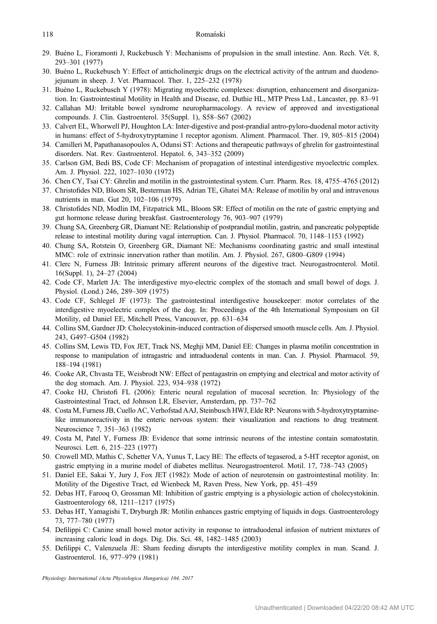- <span id="page-21-0"></span>29. Buéno L, Fioramonti J, Ruckebusch Y: Mechanisms of propulsion in the small intestine. Ann. Rech. Vét. 8, 293–301 (1977)
- 30. Buéno L, Ruckebusch Y: Effect of anticholinergic drugs on the electrical activity of the antrum and duodenojejunum in sheep. J. Vet. Pharmacol. Ther. 1, 225–232 (1978)
- 31. Buéno L, Ruckebusch Y (1978): Migrating myoelectric complexes: disruption, enhancement and disorganization. In: Gastrointestinal Motility in Health and Disease, ed. Duthie HL, MTP Press Ltd., Lancaster, pp. 83–91
- 32. Callahan MJ: Irritable bowel syndrome neuropharmacology. A review of approved and investigational compounds. J. Clin. Gastroenterol. 35(Suppl. 1), S58–S67 (2002)
- 33. Calvert EL, Whorwell PJ, Houghton LA: Inter-digestive and post-prandial antro-pyloro-duodenal motor activity in humans: effect of 5-hydroxytryptamine 1 receptor agonism. Aliment. Pharmacol. Ther. 19, 805–815 (2004)
- 34. Camilleri M, Papathanasopoulos A, Odunsi ST: Actions and therapeutic pathways of ghrelin for gastrointestinal disorders. Nat. Rev. Gastroenterol. Hepatol. 6, 343–352 (2009)
- 35. Carlson GM, Bedi BS, Code CF: Mechanism of propagation of intestinal interdigestive myoelectric complex. Am. J. Physiol. 222, 1027–1030 (1972)
- 36. Chen CY, Tsai CY: Ghrelin and motilin in the gastrointestinal system. Curr. Pharm. Res. 18, 4755–4765 (2012)
- 37. Christofides ND, Bloom SR, Besterman HS, Adrian TE, Ghatei MA: Release of motilin by oral and intravenous nutrients in man. Gut 20, 102–106 (1979)
- 38. Christofides ND, Modlin IM, Fitzpatrick ML, Bloom SR: Effect of motilin on the rate of gastric emptying and gut hormone release during breakfast. Gastroenterology 76, 903–907 (1979)
- 39. Chung SA, Greenberg GR, Diamant NE: Relationship of postprandial motilin, gastrin, and pancreatic polypeptide release to intestinal motility during vagal interruption. Can. J. Physiol. Pharmacol. 70, 1148–1153 (1992)
- 40. Chung SA, Rotstein O, Greenberg GR, Diamant NE: Mechanisms coordinating gastric and small intestinal MMC: role of extrinsic innervation rather than motilin. Am. J. Physiol. 267, G800–G809 (1994)
- 41. Clerc N, Furness JB: Intrinsic primary afferent neurons of the digestive tract. Neurogastroenterol. Motil. 16(Suppl. 1), 24–27 (2004)
- 42. Code CF, Marlett JA: The interdigestive myo-electric complex of the stomach and small bowel of dogs. J. Physiol. (Lond.) 246, 289–309 (1975)
- 43. Code CF, Schlegel JF (1973): The gastrointestinal interdigestive housekeeper: motor correlates of the interdigestive myoelectric complex of the dog. In: Proceedings of the 4th International Symposium on GI Motility, ed Daniel EE, Mitchell Press, Vancouver, pp. 631–634
- 44. Collins SM, Gardner JD: Cholecystokinin-induced contraction of dispersed smooth muscle cells. Am. J. Physiol. 243, G497–G504 (1982)
- 45. Collins SM, Lewis TD, Fox JET, Track NS, Meghji MM, Daniel EE: Changes in plasma motilin concentration in response to manipulation of intragastric and intraduodenal contents in man. Can. J. Physiol. Pharmacol. 59, 188–194 (1981)
- 46. Cooke AR, Chvasta TE, Weisbrodt NW: Effect of pentagastrin on emptying and electrical and motor activity of the dog stomach. Am. J. Physiol. 223, 934–938 (1972)
- 47. Cooke HJ, Christofi FL (2006): Enteric neural regulation of mucosal secretion. In: Physiology of the Gastrointestinal Tract, ed Johnson LR, Elsevier, Amsterdam, pp. 737–762
- 48. Costa M, Furness JB, Cuello AC, Verhofstad AAJ, Steinbusch HWJ, Elde RP: Neurons with 5-hydroxytryptaminelike immunoreactivity in the enteric nervous system: their visualization and reactions to drug treatment. Neuroscience 7, 351–363 (1982)
- 49. Costa M, Patel Y, Furness JB: Evidence that some intrinsic neurons of the intestine contain somatostatin. Neurosci. Lett. 6, 215–223 (1977)
- 50. Crowell MD, Mathis C, Schetter VA, Yunus T, Lacy BE: The effects of tegaserod, a 5-HT receptor agonist, on gastric emptying in a murine model of diabetes mellitus. Neurogastroenterol. Motil. 17, 738–743 (2005)
- 51. Daniel EE, Sakai Y, Jury J, Fox JET (1982): Mode of action of neurotensin on gastrointestinal motility. In: Motility of the Digestive Tract, ed Wienbeck M, Raven Press, New York, pp. 451–459
- 52. Debas HT, Farooq O, Grossman MI: Inhibition of gastric emptying is a physiologic action of cholecystokinin. Gastroenterology 68, 1211–1217 (1975)
- 53. Debas HT, Yamagishi T, Dryburgh JR: Motilin enhances gastric emptying of liquids in dogs. Gastroenterology 73, 777–780 (1977)
- 54. Defilippi C: Canine small bowel motor activity in response to intraduodenal infusion of nutrient mixtures of increasing caloric load in dogs. Dig. Dis. Sci. 48, 1482–1485 (2003)
- 55. Defilippi C, Valenzuela JE: Sham feeding disrupts the interdigestive motility complex in man. Scand. J. Gastroenterol. 16, 977–979 (1981)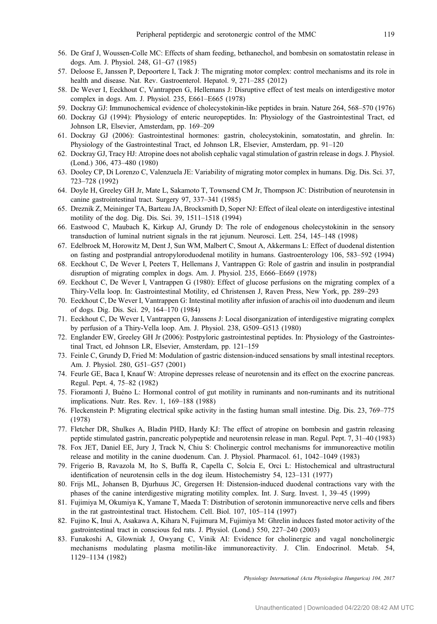- <span id="page-22-0"></span>56. De Graf J, Woussen-Colle MC: Effects of sham feeding, bethanechol, and bombesin on somatostatin release in dogs. Am. J. Physiol. 248, G1–G7 (1985)
- 57. Deloose E, Janssen P, Depoortere I, Tack J: The migrating motor complex: control mechanisms and its role in health and disease. Nat. Rev. Gastroenterol. Hepatol. 9, 271–285 (2012)
- 58. De Wever I, Eeckhout C, Vantrappen G, Hellemans J: Disruptive effect of test meals on interdigestive motor complex in dogs. Am. J. Physiol. 235, E661–E665 (1978)
- 59. Dockray GJ: Immunochemical evidence of cholecystokinin-like peptides in brain. Nature 264, 568–570 (1976)
- 60. Dockray GJ (1994): Physiology of enteric neuropeptides. In: Physiology of the Gastrointestinal Tract, ed Johnson LR, Elsevier, Amsterdam, pp. 169–209
- 61. Dockray GJ (2006): Gastrointestinal hormones: gastrin, cholecystokinin, somatostatin, and ghrelin. In: Physiology of the Gastrointestinal Tract, ed Johnson LR, Elsevier, Amsterdam, pp. 91–120
- 62. Dockray GJ, Tracy HJ: Atropine does not abolish cephalic vagal stimulation of gastrin release in dogs. J. Physiol. (Lond.) 306, 473–480 (1980)
- 63. Dooley CP, Di Lorenzo C, Valenzuela JE: Variability of migrating motor complex in humans. Dig. Dis. Sci. 37, 723–728 (1992)
- 64. Doyle H, Greeley GH Jr, Mate L, Sakamoto T, Townsend CM Jr, Thompson JC: Distribution of neurotensin in canine gastrointestinal tract. Surgery 97, 337–341 (1985)
- 65. Dreznik Z, Meininger TA, Barteau JA, Brocksmith D, Soper NJ: Effect of ileal oleate on interdigestive intestinal motility of the dog. Dig. Dis. Sci. 39, 1511–1518 (1994)
- 66. Eastwood C, Maubach K, Kirkup AJ, Grundy D: The role of endogenous cholecystokinin in the sensory transduction of luminal nutrient signals in the rat jejunum. Neurosci. Lett. 254, 145–148 (1998)
- 67. Edelbroek M, Horowitz M, Dent J, Sun WM, Malbert C, Smout A, Akkermans L: Effect of duodenal distention on fasting and postprandial antropyloroduodenal motility in humans. Gastroenterology 106, 583–592 (1994)
- 68. Eeckhout C, De Wever I, Peeters T, Hellemans J, Vantrappen G: Role of gastrin and insulin in postprandial disruption of migrating complex in dogs. Am. J. Physiol. 235, E666–E669 (1978)
- 69. Eeckhout C, De Wever I, Vantrappen G (1980): Effect of glucose perfusions on the migrating complex of a Thiry-Vella loop. In: Gastrointestinal Motility, ed Christensen J, Raven Press, New York, pp. 289–293
- 70. Eeckhout C, De Wever I, Vantrappen G: Intestinal motility after infusion of arachis oil into duodenum and ileum of dogs. Dig. Dis. Sci. 29, 164–170 (1984)
- 71. Eeckhout C, De Wever I, Vantrappen G, Janssens J: Local disorganization of interdigestive migrating complex by perfusion of a Thiry-Vella loop. Am. J. Physiol. 238, G509–G513 (1980)
- 72. Englander EW, Greeley GH Jr (2006): Postpyloric gastrointestinal peptides. In: Physiology of the Gastrointestinal Tract, ed Johnson LR, Elsevier, Amsterdam, pp. 121–159
- 73. Feinle C, Grundy D, Fried M: Modulation of gastric distension-induced sensations by small intestinal receptors. Am. J. Physiol. 280, G51–G57 (2001)
- 74. Feurle GE, Baca I, Knauf W: Atropine depresses release of neurotensin and its effect on the exocrine pancreas. Regul. Pept. 4, 75–82 (1982)
- 75. Fioramonti J, Buéno L: Hormonal control of gut motility in ruminants and non-ruminants and its nutritional implications. Nutr. Res. Rev. 1, 169–188 (1988)
- 76. Fleckenstein P: Migrating electrical spike activity in the fasting human small intestine. Dig. Dis. 23, 769–775 (1978)
- 77. Fletcher DR, Shulkes A, Bladin PHD, Hardy KJ: The effect of atropine on bombesin and gastrin releasing peptide stimulated gastrin, pancreatic polypeptide and neurotensin release in man. Regul. Pept. 7, 31–40 (1983)
- 78. Fox JET, Daniel EE, Jury J, Track N, Chiu S: Cholinergic control mechanisms for immunoreactive motilin release and motility in the canine duodenum. Can. J. Physiol. Pharmacol. 61, 1042–1049 (1983)
- 79. Frigerio B, Ravazola M, Ito S, Buffa R, Capella C, Solcia E, Orci L: Histochemical and ultrastructural identification of neurotensin cells in the dog ileum. Histochemistry 54, 123–131 (1977)
- 80. Frijs ML, Johansen B, Djurhuus JC, Gregersen H: Distension-induced duodenal contractions vary with the phases of the canine interdigestive migrating motility complex. Int. J. Surg. Invest. 1, 39–45 (1999)
- 81. Fujimiya M, Okumiya K, Yamane T, Maeda T: Distribution of serotonin immunoreactive nerve cells and fibers in the rat gastrointestinal tract. Histochem. Cell. Biol. 107, 105–114 (1997)
- 82. Fujino K, Inui A, Asakawa A, Kihara N, Fujimura M, Fujimiya M: Ghrelin induces fasted motor activity of the gastrointestinal tract in conscious fed rats. J. Physiol. (Lond.) 550, 227–240 (2003)
- 83. Funakoshi A, Glowniak J, Owyang C, Vinik AI: Evidence for cholinergic and vagal noncholinergic mechanisms modulating plasma motilin-like immunoreactivity. J. Clin. Endocrinol. Metab. 54, 1129–1134 (1982)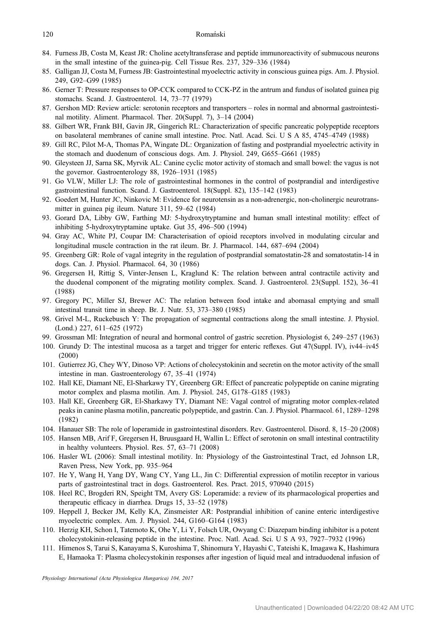- <span id="page-23-0"></span>84. Furness JB, Costa M, Keast JR: Choline acetyltransferase and peptide immunoreactivity of submucous neurons in the small intestine of the guinea-pig. Cell Tissue Res. 237, 329–336 (1984)
- 85. Galligan JJ, Costa M, Furness JB: Gastrointestinal myoelectric activity in conscious guinea pigs. Am. J. Physiol. 249, G92–G99 (1985)
- 86. Gerner T: Pressure responses to OP-CCK compared to CCK-PZ in the antrum and fundus of isolated guinea pig stomachs. Scand. J. Gastroenterol. 14, 73–77 (1979)
- 87. Gershon MD: Review article: serotonin receptors and transporters roles in normal and abnormal gastrointestinal motility. Aliment. Pharmacol. Ther. 20(Suppl. 7), 3–14 (2004)
- 88. Gilbert WR, Frank BH, Gavin JR, Gingerich RL: Characterization of specific pancreatic polypeptide receptors on basolateral membranes of canine small intestine. Proc. Natl. Acad. Sci. U S A 85, 4745–4749 (1988)
- 89. Gill RC, Pilot M-A, Thomas PA, Wingate DL: Organization of fasting and postprandial myoelectric activity in the stomach and duodenum of conscious dogs. Am. J. Physiol. 249, G655–G661 (1985)
- 90. Gleysteen JJ, Sarna SK, Myrvik AL: Canine cyclic motor activity of stomach and small bowel: the vagus is not the governor. Gastroenterology 88, 1926–1931 (1985)
- 91. Go VLW, Miller LJ: The role of gastrointestinal hormones in the control of postprandial and interdigestive gastrointestinal function. Scand. J. Gastroenterol. 18(Suppl. 82), 135–142 (1983)
- 92. Goedert M, Hunter JC, Ninkovic M: Evidence for neurotensin as a non-adrenergic, non-cholinergic neurotransmitter in guinea pig ileum. Nature 311, 59–62 (1984)
- 93. Gorard DA, Libby GW, Farthing MJ: 5-hydroxytryptamine and human small intestinal motility: effect of inhibiting 5-hydroxytryptamine uptake. Gut 35, 496–500 (1994)
- 94. Gray AC, White PJ, Coupar IM: Characterisation of opioid receptors involved in modulating circular and longitudinal muscle contraction in the rat ileum. Br. J. Pharmacol. 144, 687–694 (2004)
- 95. Greenberg GR: Role of vagal integrity in the regulation of postprandial somatostatin-28 and somatostatin-14 in dogs. Can. J. Physiol. Pharmacol. 64, 30 (1986)
- 96. Gregersen H, Rittig S, Vinter-Jensen L, Kraglund K: The relation between antral contractile activity and the duodenal component of the migrating motility complex. Scand. J. Gastroenterol. 23(Suppl. 152), 36–41 (1988)
- 97. Gregory PC, Miller SJ, Brewer AC: The relation between food intake and abomasal emptying and small intestinal transit time in sheep. Br. J. Nutr. 53, 373–380 (1985)
- 98. Grivel M-L, Ruckebusch Y: The propagation of segmental contractions along the small intestine. J. Physiol. (Lond.) 227, 611–625 (1972)
- 99. Grossman MI: Integration of neural and hormonal control of gastric secretion. Physiologist 6, 249–257 (1963)
- 100. Grundy D: The intestinal mucosa as a target and trigger for enteric reflexes. Gut 47(Suppl. IV), iv44–iv45 (2000)
- 101. Gutierrez JG, Chey WY, Dinoso VP: Actions of cholecystokinin and secretin on the motor activity of the small intestine in man. Gastroenterology 67, 35–41 (1974)
- 102. Hall KE, Diamant NE, El-Sharkawy TY, Greenberg GR: Effect of pancreatic polypeptide on canine migrating motor complex and plasma motilin. Am. J. Physiol. 245, G178–G185 (1983)
- 103. Hall KE, Greenberg GR, El-Sharkawy TY, Diamant NE: Vagal control of migrating motor complex-related peaks in canine plasma motilin, pancreatic polypeptide, and gastrin. Can. J. Physiol. Pharmacol. 61, 1289–1298 (1982)
- 104. Hanauer SB: The role of loperamide in gastrointestinal disorders. Rev. Gastroenterol. Disord. 8, 15–20 (2008)
- 105. Hansen MB, Arif F, Gregersen H, Bruusgaard H, Wallin L: Effect of serotonin on small intestinal contractility in healthy volunteers. Physiol. Res. 57, 63–71 (2008)
- 106. Hasler WL (2006): Small intestinal motility. In: Physiology of the Gastrointestinal Tract, ed Johnson LR, Raven Press, New York, pp. 935–964
- 107. He Y, Wang H, Yang DY, Wang CY, Yang LL, Jin C: Differential expression of motilin receptor in various parts of gastrointestinal tract in dogs. Gastroenterol. Res. Pract. 2015, 970940 (2015)
- 108. Heel RC, Brogderi RN, Speight TM, Avery GS: Loperamide: a review of its pharmacological properties and therapeutic efficacy in diarrhea. Drugs 15, 33–52 (1978)
- 109. Heppell J, Becker JM, Kelly KA, Zinsmeister AR: Postprandial inhibition of canine enteric interdigestive myoelectric complex. Am. J. Physiol. 244, G160–G164 (1983)
- 110. Herzig KH, Schon I, Tatemoto K, Ohe Y, Li Y, Folsch UR, Owyang C: Diazepam binding inhibitor is a potent cholecystokinin-releasing peptide in the intestine. Proc. Natl. Acad. Sci. U S A 93, 7927–7932 (1996)
- 111. Himenos S, Tarui S, Kanayama S, Kuroshima T, Shinomura Y, Hayashi C, Tateishi K, Imagawa K, Hashimura E, Hamaoka T: Plasma cholecystokinin responses after ingestion of liquid meal and intraduodenal infusion of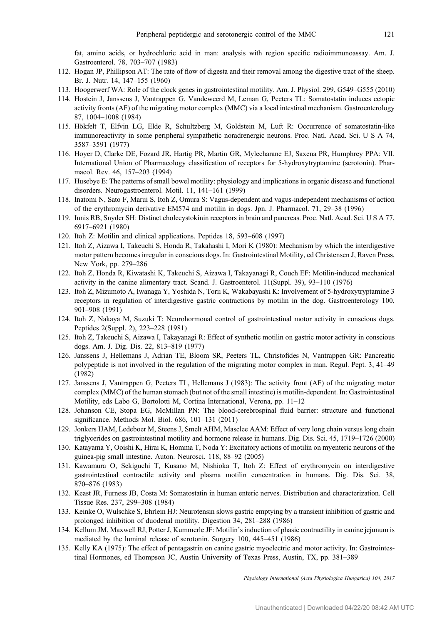fat, amino acids, or hydrochloric acid in man: analysis with region specific radioimmunoassay. Am. J. Gastroenterol. 78, 703–707 (1983)

- <span id="page-24-0"></span>112. Hogan JP, Phillipson AT: The rate of flow of digesta and their removal among the digestive tract of the sheep. Br. J. Nutr. 14, 147–155 (1960)
- 113. Hoogerwerf WA: Role of the clock genes in gastrointestinal motility. Am. J. Physiol. 299, G549–G555 (2010)
- 114. Hostein J, Janssens J, Vantrappen G, Vandeweerd M, Leman G, Peeters TL: Somatostatin induces ectopic activity fronts (AF) of the migrating motor complex (MMC) via a local intestinal mechanism. Gastroenterology 87, 1004–1008 (1984)
- 115. Hökfelt T, Elfvin LG, Elde R, Schultzberg M, Goldstein M, Luft R: Occurrence of somatostatin-like immunoreactivity in some peripheral sympathetic noradrenergic neurons. Proc. Natl. Acad. Sci. U S A 74, 3587–3591 (1977)
- 116. Hoyer D, Clarke DE, Fozard JR, Hartig PR, Martin GR, Mylecharane EJ, Saxena PR, Humphrey PPA: VII. International Union of Pharmacology classification of receptors for 5-hydroxytryptamine (serotonin). Pharmacol. Rev. 46, 157–203 (1994)
- 117. Husebye E: The patterns of small bowel motility: physiology and implications in organic disease and functional disorders. Neurogastroenterol. Motil. 11, 141–161 (1999)
- 118. Inatomi N, Sato F, Marui S, Itoh Z, Omura S: Vagus-dependent and vagus-independent mechanisms of action of the erythromycin derivative EM574 and motilin in dogs. Jpn. J. Pharmacol. 71, 29–38 (1996)
- 119. Innis RB, Snyder SH: Distinct cholecystokinin receptors in brain and pancreas. Proc. Natl. Acad. Sci. U S A 77, 6917–6921 (1980)
- 120. Itoh Z: Motilin and clinical applications. Peptides 18, 593–608 (1997)
- 121. Itoh Z, Aizawa I, Takeuchi S, Honda R, Takahashi I, Mori K (1980): Mechanism by which the interdigestive motor pattern becomes irregular in conscious dogs. In: Gastrointestinal Motility, ed Christensen J, Raven Press, New York, pp. 279–286
- 122. Itoh Z, Honda R, Kiwatashi K, Takeuchi S, Aizawa I, Takayanagi R, Couch EF: Motilin-induced mechanical activity in the canine alimentary tract. Scand. J. Gastroenterol. 11(Suppl. 39), 93–110 (1976)
- 123. Itoh Z, Mizumoto A, Iwanaga Y, Yoshida N, Torii K, Wakabayashi K: Involvement of 5-hydroxytryptamine 3 receptors in regulation of interdigestive gastric contractions by motilin in the dog. Gastroenterology 100, 901–908 (1991)
- 124. Itoh Z, Nakaya M, Suzuki T: Neurohormonal control of gastrointestinal motor activity in conscious dogs. Peptides 2(Suppl. 2), 223–228 (1981)
- 125. Itoh Z, Takeuchi S, Aizawa I, Takayanagi R: Effect of synthetic motilin on gastric motor activity in conscious dogs. Am. J. Dig. Dis. 22, 813–819 (1977)
- 126. Janssens J, Hellemans J, Adrian TE, Bloom SR, Peeters TL, Christofides N, Vantrappen GR: Pancreatic polypeptide is not involved in the regulation of the migrating motor complex in man. Regul. Pept. 3, 41–49 (1982)
- 127. Janssens J, Vantrappen G, Peeters TL, Hellemans J (1983): The activity front (AF) of the migrating motor complex (MMC) of the human stomach (but not of the small intestine) is motilin-dependent. In: Gastrointestinal Motility, eds Labo G, Bortolotti M, Cortina International, Verona, pp. 11–12
- 128. Johanson CE, Stopa EG, McMillan PN: The blood-cerebrospinal fluid barrier: structure and functional significance. Methods Mol. Biol. 686, 101–131 (2011)
- 129. Jonkers IJAM, Ledeboer M, Steens J, Smelt AHM, Masclee AAM: Effect of very long chain versus long chain triglycerides on gastrointestinal motility and hormone release in humans. Dig. Dis. Sci. 45, 1719–1726 (2000)
- 130. Katayama Y, Ooishi K, Hirai K, Homma T, Noda Y: Excitatory actions of motilin on myenteric neurons of the guinea-pig small intestine. Auton. Neurosci. 118, 88–92 (2005)
- 131. Kawamura O, Sekiguchi T, Kusano M, Nishioka T, Itoh Z: Effect of erythromycin on interdigestive gastrointestinal contractile activity and plasma motilin concentration in humans. Dig. Dis. Sci. 38, 870–876 (1983)
- 132. Keast JR, Furness JB, Costa M: Somatostatin in human enteric nerves. Distribution and characterization. Cell Tissue Res. 237, 299–308 (1984)
- 133. Keinke O, Wulschke S, Ehrlein HJ: Neurotensin slows gastric emptying by a transient inhibition of gastric and prolonged inhibition of duodenal motility. Digestion 34, 281–288 (1986)
- 134. Kellum JM, Maxwell RJ, Potter J, Kummerle JF: Motilin's induction of phasic contractility in canine jejunum is mediated by the luminal release of serotonin. Surgery 100, 445–451 (1986)
- 135. Kelly KA (1975): The effect of pentagastrin on canine gastric myoelectric and motor activity. In: Gastrointestinal Hormones, ed Thompson JC, Austin University of Texas Press, Austin, TX, pp. 381–389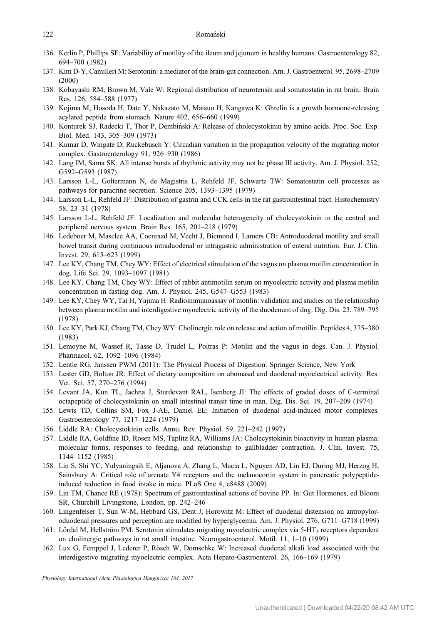- <span id="page-25-0"></span>136. Kerlin P, Phillips SF: Variability of motility of the ileum and jejunum in healthy humans. Gastroenterology 82, 694–700 (1982)
- 137. Kim D-Y, Camilleri M: Serotonin: a mediator of the brain-gut connection. Am. J. Gastroenterol. 95, 2698–2709 (2000)
- 138. Kobayashi RM, Brown M, Vale W: Regional distribution of neurotensin and somatostatin in rat brain. Brain Res. 126, 584–588 (1977)
- 139. Kojima M, Hosoda H, Date Y, Nakazato M, Matsuo H, Kangawa K: Ghrelin is a growth hormone-releasing acylated peptide from stomach. Nature 402, 656–660 (1999)
- 140. Konturek SJ, Radecki T, Thor P, Dembiński A: Release of cholecystokinin by amino acids. Proc. Soc. Exp. Biol. Med. 143, 305–309 (1973)
- 141. Kumar D, Wingate D, Ruckebusch Y: Circadian variation in the propagation velocity of the migrating motor complex. Gastroenterology 91, 926–930 (1986)
- 142. Lang IM, Sarna SK: All intense bursts of rhythmic activity may not be phase III activity. Am. J. Physiol. 252, G592–G593 (1987)
- 143. Larsson L-L, Goltermann N, de Magistris L, Rehfeld JF, Schwartz TW: Somatostatin cell processes as pathways for paracrine secretion. Science 205, 1393–1395 (1979)
- 144. Larsson L-L, Rehfeld JF: Distribution of gastrin and CCK cells in the rat gastrointestinal tract. Histochemistry 58, 23–31 (1978)
- 145. Larsson L-L, Rehfeld JF: Localization and molecular heterogeneity of cholecystokinin in the central and peripheral nervous system. Brain Res. 165, 201–218 (1979)
- 146. Ledeboer M, Masclee AA, Coenraad M, Vecht J, Biemond I, Lamers CB: Antroduodenal motility and small bowel transit during continuous intraduodenal or intragastric administration of enteral nutrition. Eur. J. Clin. Invest. 29, 615–623 (1999)
- 147. Lee KY, Chang TM, Chey WY: Effect of electrical stimulation of the vagus on plasma motilin concentration in dog. Life Sci. 29, 1093–1097 (1981)
- 148. Lee KY, Chang TM, Chey WY: Effect of rabbit antimotilin serum on myoelectric activity and plasma motilin concentration in fasting dog. Am. J. Physiol. 245, G547–G553 (1983)
- 149. Lee KY, Chey WY, Tai H, Yajima H: Radioimmunoassay of motilin: validation and studies on the relationship between plasma motilin and interdigestive myoelectric activity of the duodenum of dog. Dig. Dis. 23, 789–795 (1978)
- 150. Lee KY, Park KJ, Chang TM, Chey WY: Cholinergic role on release and action of motilin. Peptides 4, 375–380 (1983)
- 151. Lemoyne M, Wassef R, Tasse D, Trudel L, Poitras P: Motilin and the vagus in dogs. Can. J. Physiol. Pharmacol. 62, 1092–1096 (1984)
- 152. Lentle RG, Janssen PWM (2011): The Physical Process of Digestion. Springer Science, New York
- 153. Lester GD, Bolton JR: Effect of dietary composition on abomasal and duodenal myoelectrical activity. Res. Vet. Sci. 57, 270–276 (1994)
- 154. Levant JA, Kun TL, Jachna J, Sturdevant RAL, Isenberg JI: The effects of graded doses of C-terminal octapeptide of cholecystokinin on small intestinal transit time in man. Dig. Dis. Sci. 19, 207–209 (1974)
- 155. Lewis TD, Collins SM, Fox J-AE, Daniel EE: Initiation of duodenal acid-induced motor complexes. Gastroenterology 77, 1217–1224 (1979)
- 156. Liddle RA: Cholecystokinin cells. Annu. Rev. Physiol. 59, 221–242 (1997)
- 157. Liddle RA, Goldfine ID, Rosen MS, Taplitz RA, Williams JA: Cholecystokinin bioactivity in human plasma: molecular forms, responses to feeding, and relationship to gallbladder contraction. J. Clin. Invest. 75, 1144–1152 (1985)
- 158. Lin S, Shi YC, Yulyaningsih E, Aljanova A, Zhang L, Macia L, Nguyen AD, Lin EJ, During MJ, Herzog H, Sainsbury A: Critical role of arcuate Y4 receptors and the melanocortin system in pancreatic polypeptideinduced reduction in food intake in mice. PLoS One 4, e8488 (2009)
- 159. Lin TM, Chance RE (1978): Spectrum of gastrointestinal actions of bovine PP. In: Gut Hormones, ed Bloom SR, Churchill Livingstone, London, pp. 242–246
- 160. Lingenfelser T, Sun W-M, Hebbard GS, Dent J, Horowitz M: Effect of duodenal distension on antropyloroduodenal pressures and perception are modified by hyperglycemia. Am. J. Physiol. 276, G711–G718 (1999)
- 161. Lördal M, Hellström PM: Serotonin stimulates migrating myoelectric complex via 5-HT<sub>3</sub> receptors dependent on cholinergic pathways in rat small intestine. Neurogastroenterol. Motil. 11, 1–10 (1999)
- 162. Lux G, Femppel J, Lederer P, Rösch W, Domschke W: Increased duodenal alkali load associated with the interdigestive migrating myoelectric complex. Acta Hepato-Gastroenterol. 26, 166–169 (1979)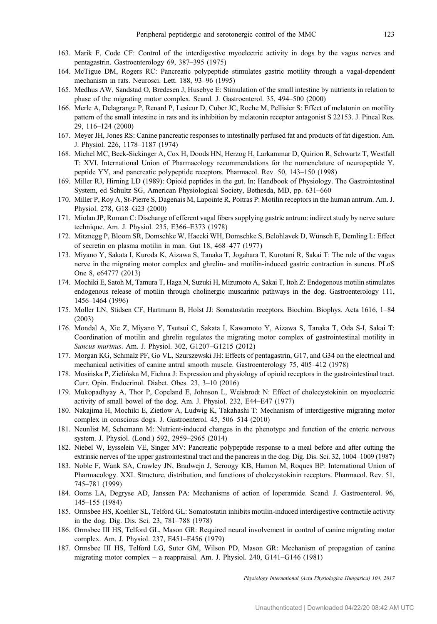- <span id="page-26-0"></span>163. Marik F, Code CF: Control of the interdigestive myoelectric activity in dogs by the vagus nerves and pentagastrin. Gastroenterology 69, 387–395 (1975)
- 164. McTigue DM, Rogers RC: Pancreatic polypeptide stimulates gastric motility through a vagal-dependent mechanism in rats. Neurosci. Lett. 188, 93–96 (1995)
- 165. Medhus AW, Sandstad O, Bredesen J, Husebye E: Stimulation of the small intestine by nutrients in relation to phase of the migrating motor complex. Scand. J. Gastroenterol. 35, 494–500 (2000)
- 166. Merle A, Delagrange P, Renard P, Lesieur D, Cuber JC, Roche M, Pellisier S: Effect of melatonin on motility pattern of the small intestine in rats and its inhibition by melatonin receptor antagonist S 22153. J. Pineal Res. 29, 116–124 (2000)
- 167. Meyer JH, Jones RS: Canine pancreatic responses to intestinally perfused fat and products of fat digestion. Am. J. Physiol. 226, 1178–1187 (1974)
- 168. Michel MC, Beck-Sickinger A, Cox H, Doods HN, Herzog H, Larkammar D, Quirion R, Schwartz T, Westfall T: XVI. International Union of Pharmacology recommendations for the nomenclature of neuropeptide Y, peptide YY, and pancreatic polypeptide receptors. Pharmacol. Rev. 50, 143–150 (1998)
- 169. Miller RJ, Hirning LD (1989): Opioid peptides in the gut. In: Handbook of Physiology. The Gastrointestinal System, ed Schultz SG, American Physiological Society, Bethesda, MD, pp. 631–660
- 170. Miller P, Roy A, St-Pierre S, Dagenais M, Lapointe R, Poitras P: Motilin receptors in the human antrum. Am. J. Physiol. 278, G18–G23 (2000)
- 171. Miolan JP, Roman C: Discharge of efferent vagal fibers supplying gastric antrum: indirect study by nerve suture technique. Am. J. Physiol. 235, E366–E373 (1978)
- 172. Mitznegg P, Bloom SR, Domschke W, Haecki WH, Domschke S, Belohlavek D, Wünsch E, Demling L: Effect of secretin on plasma motilin in man. Gut 18, 468–477 (1977)
- 173. Miyano Y, Sakata I, Kuroda K, Aizawa S, Tanaka T, Jogahara T, Kurotani R, Sakai T: The role of the vagus nerve in the migrating motor complex and ghrelin- and motilin-induced gastric contraction in suncus. PLoS One 8, e64777 (2013)
- 174. Mochiki E, Satoh M, Tamura T, Haga N, Suzuki H, Mizumoto A, Sakai T, Itoh Z: Endogenous motilin stimulates endogenous release of motilin through cholinergic muscarinic pathways in the dog. Gastroenterology 111, 1456–1464 (1996)
- 175. Moller LN, Stidsen CF, Hartmann B, Holst JJ: Somatostatin receptors. Biochim. Biophys. Acta 1616, 1–84 (2003)
- 176. Mondal A, Xie Z, Miyano Y, Tsutsui C, Sakata I, Kawamoto Y, Aizawa S, Tanaka T, Oda S-I, Sakai T: Coordination of motilin and ghrelin regulates the migrating motor complex of gastrointestinal motility in Suncus murinus. Am. J. Physiol. 302, G1207–G1215 (2012)
- 177. Morgan KG, Schmalz PF, Go VL, Szurszewski JH: Effects of pentagastrin, G17, and G34 on the electrical and mechanical activities of canine antral smooth muscle. Gastroenterology 75, 405–412 (1978)
- 178. Mosińska P, Zielińska M, Fichna J: Expression and physiology of opioid receptors in the gastrointestinal tract. Curr. Opin. Endocrinol. Diabet. Obes. 23, 3–10 (2016)
- 179. Mukopadhyay A, Thor P, Copeland E, Johnson L, Weisbrodt N: Effect of cholecystokinin on myoelectric activity of small bowel of the dog. Am. J. Physiol. 232, E44–E47 (1977)
- 180. Nakajima H, Mochiki E, Zietlow A, Ludwig K, Takahashi T: Mechanism of interdigestive migrating motor complex in conscious dogs. J. Gastroenterol. 45, 506–514 (2010)
- 181. Neunlist M, Schemann M: Nutrient-induced changes in the phenotype and function of the enteric nervous system. J. Physiol. (Lond.) 592, 2959–2965 (2014)
- 182. Niebel W, Eysselein VE, Singer MV: Pancreatic polypeptide response to a meal before and after cutting the extrinsic nerves of the upper gastrointestinal tract and the pancreas in the dog. Dig. Dis. Sci. 32, 1004–1009 (1987)
- 183. Noble F, Wank SA, Crawley JN, Bradwejn J, Seroogy KB, Hamon M, Roques BP: International Union of Pharmacology. XXI. Structure, distribution, and functions of cholecystokinin receptors. Pharmacol. Rev. 51, 745–781 (1999)
- 184. Ooms LA, Degryse AD, Janssen PA: Mechanisms of action of loperamide. Scand. J. Gastroenterol. 96, 145–155 (1984)
- 185. Ormsbee HS, Koehler SL, Telford GL: Somatostatin inhibits motilin-induced interdigestive contractile activity in the dog. Dig. Dis. Sci. 23, 781–788 (1978)
- 186. Ormsbee III HS, Telford GL, Mason GR: Required neural involvement in control of canine migrating motor complex. Am. J. Physiol. 237, E451–E456 (1979)
- 187. Ormsbee III HS, Telford LG, Suter GM, Wilson PD, Mason GR: Mechanism of propagation of canine migrating motor complex – a reappraisal. Am. J. Physiol. 240, G141–G146 (1981)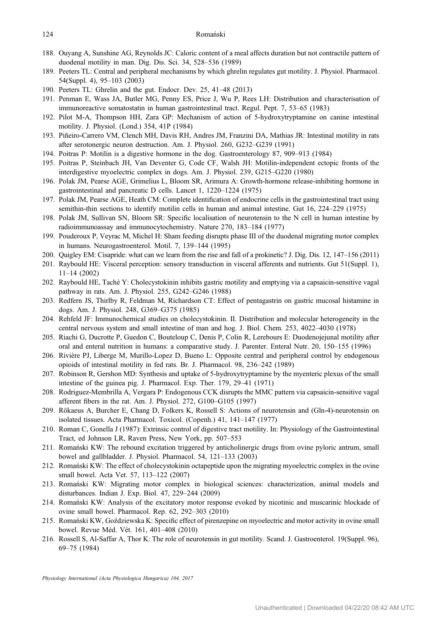- <span id="page-27-0"></span>188. Ouyang A, Sunshine AG, Reynolds JC: Caloric content of a meal affects duration but not contractile pattern of duodenal motility in man. Dig. Dis. Sci. 34, 528–536 (1989)
- 189. Peeters TL: Central and peripheral mechanisms by which ghrelin regulates gut motility. J. Physiol. Pharmacol. 54(Suppl. 4), 95–103 (2003)
- 190. Peeters TL: Ghrelin and the gut. Endocr. Dev. 25, 41–48 (2013)
- 191. Penman E, Wass JA, Butler MG, Penny ES, Price J, Wu P, Rees LH: Distribution and characterisation of immunoreactive somatostatin in human gastrointestinal tract. Regul. Pept. 7, 53–65 (1983)
- 192. Pilot M-A, Thompson HH, Zara GP: Mechanism of action of 5-hydroxytryptamine on canine intestinal motility. J. Physiol. (Lond.) 354, 41P (1984)
- 193. Piñeiro-Carrero VM, Clench MH, Davis RH, Andres JM, Franzini DA, Mathias JR: Intestinal motility in rats after serotonergic neuron destruction. Am. J. Physiol. 260, G232–G239 (1991)
- 194. Poitras P: Motilin is a digestive hormone in the dog. Gastroenterology 87, 909–913 (1984)
- 195. Poitras P, Steinbach JH, Van Deventer G, Code CF, Walsh JH: Motilin-independent ectopic fronts of the interdigestive myoelectric complex in dogs. Am. J. Physiol. 239, G215–G220 (1980)
- 196. Polak JM, Pearse AGE, Grimelius L, Bloom SR, Arimura A: Growth-hormone release-inhibiting hormone in gastrointestinal and pancreatic D cells. Lancet 1, 1220–1224 (1975)
- 197. Polak JM, Pearse AGE, Heath CM: Complete identification of endocrine cells in the gastrointestinal tract using semithin-thin sections to identify motilin cells in human and animal intestine. Gut 16, 224–229 (1975)
- 198. Polak JM, Sullivan SN, Bloom SR: Specific localisation of neurotensin to the N cell in human intestine by radioimmunoassay and immunocytochemistry. Nature 270, 183–184 (1977)
- 199. Pouderoux P, Veyrac M, Michel H: Sham feeding disrupts phase III of the duodenal migrating motor complex in humans. Neurogastroenterol. Motil. 7, 139–144 (1995)
- 200. Quigley EM: Cisapride: what can we learn from the rise and fall of a prokinetic? J. Dig. Dis. 12, 147–156 (2011)
- 201. Raybould HE: Visceral perception: sensory transduction in visceral afferents and nutrients. Gut 51(Suppl. 1), 11–14 (2002)
- 202. Raybould HE, Taché Y: Cholecystokinin inhibits gastric motility and emptying via a capsaicin-sensitive vagal pathway in rats. Am. J. Physiol. 255, G242–G246 (1988)
- 203. Redfern JS, Thirlby R, Feldman M, Richardson CT: Effect of pentagastrin on gastric mucosal histamine in dogs. Am. J. Physiol. 248, G369–G375 (1985)
- 204. Rehfeld JF: Immunochemical studies on cholecystokinin. II. Distribution and molecular heterogeneity in the central nervous system and small intestine of man and hog. J. Biol. Chem. 253, 4022–4030 (1978)
- 205. Riachi G, Ducrotte P, Guedon C, Bouteloup C, Denis P, Colin R, Lerebours E: Duodenojejunal motility after oral and enteral nutrition in humans: a comparative study. J. Parenter. Enteral Nutr. 20, 150–155 (1996)
- 206. Rivière PJ, Liberge M, Murillo-Lopez D, Bueno L: Opposite central and peripheral control by endogenous opioids of intestinal motility in fed rats. Br. J. Pharmacol. 98, 236–242 (1989)
- 207. Robinson R, Gershon MD: Synthesis and uptake of 5-hydroxytryptamine by the myenteric plexus of the small intestine of the guinea pig. J. Pharmacol. Exp. Ther. 179, 29–41 (1971)
- 208. Rodriguez-Membrilla A, Vergara P: Endogenous CCK disrupts the MMC pattern via capsaicin-sensitive vagal afferent fibers in the rat. Am. J. Physiol. 272, G100–G105 (1997)
- 209. Rökaeus A, Burcher E, Chang D, Folkers K, Rossell S: Actions of neurotensin and (Gln-4)-neurotensin on isolated tissues. Acta Pharmacol. Toxicol. (Copenh.) 41, 141–147 (1977)
- 210. Roman C, Gonella J (1987): Extrinsic control of digestive tract motility. In: Physiology of the Gastrointestinal Tract, ed Johnson LR, Raven Press, New York, pp. 507–553
- 211. Romański KW: The rebound excitation triggered by anticholinergic drugs from ovine pyloric antrum, small bowel and gallbladder. J. Physiol. Pharmacol. 54, 121–133 (2003)
- 212. Romański KW: The effect of cholecystokinin octapeptide upon the migrating myoelectric complex in the ovine small bowel. Acta Vet. 57, 113–122 (2007)
- 213. Romański KW: Migrating motor complex in biological sciences: characterization, animal models and disturbances. Indian J. Exp. Biol. 47, 229–244 (2009)
- 214. Romański KW: Analysis of the excitatory motor response evoked by nicotinic and muscarinic blockade of ovine small bowel. Pharmacol. Rep. 62, 292–303 (2010)
- 215. Romański KW, Goździewska K: Specific effect of pirenzepine on myoelectric and motor activity in ovine small bowel. Revue Méd. Vét. 161, 401–408 (2010)
- 216. Rossell S, Al-Saffar A, Thor K: The role of neurotensin in gut motility. Scand. J. Gastroenterol. 19(Suppl. 96), 69–75 (1984)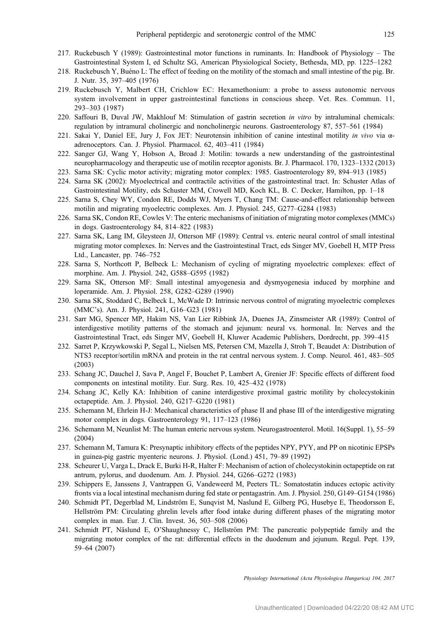- <span id="page-28-0"></span>217. Ruckebusch Y (1989): Gastrointestinal motor functions in ruminants. In: Handbook of Physiology – The Gastrointestinal System I, ed Schultz SG, American Physiological Society, Bethesda, MD, pp. 1225–1282
- 218. Ruckebusch Y, Buéno L: The effect of feeding on the motility of the stomach and small intestine of the pig. Br. J. Nutr. 35, 397–405 (1976)
- 219. Ruckebusch Y, Malbert CH, Crichlow EC: Hexamethonium: a probe to assess autonomic nervous system involvement in upper gastrointestinal functions in conscious sheep. Vet. Res. Commun. 11, 293–303 (1987)
- 220. Saffouri B, Duval JW, Makhlouf M: Stimulation of gastrin secretion in vitro by intraluminal chemicals: regulation by intramural cholinergic and noncholinergic neurons. Gastroenterology 87, 557–561 (1984)
- 221. Sakai Y, Daniel EE, Jury J, Fox JET: Neurotensin inhibition of canine intestinal motility in vivo via  $\alpha$ adrenoceptors. Can. J. Physiol. Pharmacol. 62, 403–411 (1984)
- 222. Sanger GJ, Wang Y, Hobson A, Broad J: Motilin: towards a new understanding of the gastrointestinal neuropharmacology and therapeutic use of motilin receptor agonists. Br. J. Pharmacol. 170, 1323–1332 (2013)
- 223. Sarna SK: Cyclic motor activity; migrating motor complex: 1985. Gastroenterology 89, 894–913 (1985)
- 224. Sarna SK (2002): Myoelectrical and contractile activities of the gastrointestinal tract. In: Schuster Atlas of Gastrointestinal Motility, eds Schuster MM, Crowell MD, Koch KL, B. C. Decker, Hamilton, pp. 1–18
- 225. Sarna S, Chey WY, Condon RE, Dodds WJ, Myers T, Chang TM: Cause-and-effect relationship between motilin and migrating myoelectric complexes. Am. J. Physiol. 245, G277–G284 (1983)
- 226. Sarna SK, Condon RE, Cowles V: The enteric mechanisms of initiation of migrating motor complexes (MMCs) in dogs. Gastroenterology 84, 814–822 (1983)
- 227. Sarna SK, Lang IM, Gleysteen JJ, Otterson MF (1989): Central vs. enteric neural control of small intestinal migrating motor complexes. In: Nerves and the Gastrointestinal Tract, eds Singer MV, Goebell H, MTP Press Ltd., Lancaster, pp. 746–752
- 228. Sarna S, Northcott P, Belbeck L: Mechanism of cycling of migrating myoelectric complexes: effect of morphine. Am. J. Physiol. 242, G588–G595 (1982)
- 229. Sarna SK, Otterson MF: Small intestinal amyogenesia and dysmyogenesia induced by morphine and loperamide. Am. J. Physiol. 258, G282–G289 (1990)
- 230. Sarna SK, Stoddard C, Belbeck L, McWade D: Intrinsic nervous control of migrating myoelectric complexes (MMC's). Am. J. Physiol. 241, G16–G23 (1981)
- 231. Sarr MG, Spencer MP, Hakim NS, Van Lier Ribbink JA, Duenes JA, Zinsmeister AR (1989): Control of interdigestive motility patterns of the stomach and jejunum: neural vs. hormonal. In: Nerves and the Gastrointestinal Tract, eds Singer MV, Goebell H, Kluwer Academic Publishers, Dordrecht, pp. 399–415
- 232. Sarret P, Krzywkowski P, Segal L, Nielsen MS, Petersen CM, Mazella J, Stroh T, Beaudet A: Distribution of NTS3 receptor/sortilin mRNA and protein in the rat central nervous system. J. Comp. Neurol. 461, 483–505 (2003)
- 233. Schang JC, Dauchel J, Sava P, Angel F, Bouchet P, Lambert A, Grenier JF: Specific effects of different food components on intestinal motility. Eur. Surg. Res. 10, 425–432 (1978)
- 234. Schang JC, Kelly KA: Inhibition of canine interdigestive proximal gastric motility by cholecystokinin octapeptide. Am. J. Physiol. 240, G217–G220 (1981)
- 235. Schemann M, Ehrlein H-J: Mechanical characteristics of phase II and phase III of the interdigestive migrating motor complex in dogs. Gastroenterology 91, 117–123 (1986)
- 236. Schemann M, Neunlist M: The human enteric nervous system. Neurogastroenterol. Motil. 16(Suppl. 1), 55–59 (2004)
- 237. Schemann M, Tamura K: Presynaptic inhibitory effects of the peptides NPY, PYY, and PP on nicotinic EPSPs in guinea-pig gastric myenteric neurons. J. Physiol. (Lond.) 451, 79–89 (1992)
- 238. Scheurer U, Varga L, Drack E, Burki H-R, Halter F: Mechanism of action of cholecystokinin octapeptide on rat antrum, pylorus, and duodenum. Am. J. Physiol. 244, G266–G272 (1983)
- 239. Schippers E, Janssens J, Vantrappen G, Vandeweerd M, Peeters TL: Somatostatin induces ectopic activity fronts via a local intestinal mechanism during fed state or pentagastrin. Am. J. Physiol. 250, G149–G154 (1986)
- 240. Schmidt PT, Degerblad M, Lindström E, Sunqvist M, Naslund E, Gilberg PG, Husebye E, Theodorsson E, Hellström PM: Circulating ghrelin levels after food intake during different phases of the migrating motor complex in man. Eur. J. Clin. Invest. 36, 503–508 (2006)
- 241. Schmidt PT, Näslund E, O'Shaughnessy C, Hellström PM: The pancreatic polypeptide family and the migrating motor complex of the rat: differential effects in the duodenum and jejunum. Regul. Pept. 139, 59–64 (2007)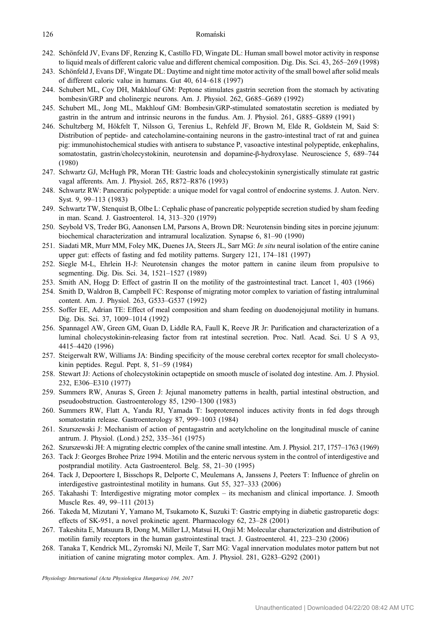- <span id="page-29-0"></span>242. Schönfeld JV, Evans DF, Renzing K, Castillo FD, Wingate DL: Human small bowel motor activity in response to liquid meals of different caloric value and different chemical composition. Dig. Dis. Sci. 43, 265–269 (1998)
- 243. Schönfeld J, Evans DF, Wingate DL: Daytime and night time motor activity of the small bowel after solid meals of different caloric value in humans. Gut 40, 614–618 (1997)
- 244. Schubert ML, Coy DH, Makhlouf GM: Peptone stimulates gastrin secretion from the stomach by activating bombesin/GRP and cholinergic neurons. Am. J. Physiol. 262, G685–G689 (1992)
- 245. Schubert ML, Jong ML, Makhlouf GM: Bombesin/GRP-stimulated somatostatin secretion is mediated by gastrin in the antrum and intrinsic neurons in the fundus. Am. J. Physiol. 261, G885–G889 (1991)
- 246. Schultzberg M, Hökfelt T, Nilsson G, Terenius L, Rehfeld JF, Brown M, Elde R, Goldstein M, Said S: Distribution of peptide- and catecholamine-containing neurons in the gastro-intestinal tract of rat and guinea pig: immunohistochemical studies with antisera to substance P, vasoactive intestinal polypeptide, enkephalins, somatostatin, gastrin/cholecystokinin, neurotensin and dopamine-β-hydroxylase. Neuroscience 5, 689–744 (1980)
- 247. Schwartz GJ, McHugh PR, Moran TH: Gastric loads and cholecystokinin synergistically stimulate rat gastric vagal afferents. Am. J. Physiol. 265, R872–R876 (1993)
- 248. Schwartz RW: Panceratic polypeptide: a unique model for vagal control of endocrine systems. J. Auton. Nerv. Syst. 9, 99–113 (1983)
- 249. Schwartz TW, Stenquist B, Olbe L: Cephalic phase of pancreatic polypeptide secretion studied by sham feeding in man. Scand. J. Gastroenterol. 14, 313–320 (1979)
- 250. Seybold VS, Treder BG, Aanonsen LM, Parsons A, Brown DR: Neurotensin binding sites in porcine jejunum: biochemical characterization and intramural localization. Synapse 6, 81–90 (1990)
- 251. Siadati MR, Murr MM, Foley MK, Duenes JA, Steers JL, Sarr MG: In situ neural isolation of the entire canine upper gut: effects of fasting and fed motility patterns. Surgery 121, 174–181 (1997)
- 252. Siegle M-L, Ehrlein H-J: Neurotensin changes the motor pattern in canine ileum from propulsive to segmenting. Dig. Dis. Sci. 34, 1521–1527 (1989)
- 253. Smith AN, Hogg D: Effect of gastrin II on the motility of the gastrointestinal tract. Lancet 1, 403 (1966)
- 254. Smith D, Waldron B, Campbell FC: Response of migrating motor complex to variation of fasting intraluminal content. Am. J. Physiol. 263, G533–G537 (1992)
- 255. Soffer EE, Adrian TE: Effect of meal composition and sham feeding on duodenojejunal motility in humans. Dig. Dis. Sci. 37, 1009–1014 (1992)
- 256. Spannagel AW, Green GM, Guan D, Liddle RA, Faull K, Reeve JR Jr: Purification and characterization of a luminal cholecystokinin-releasing factor from rat intestinal secretion. Proc. Natl. Acad. Sci. U S A 93, 4415–4420 (1996)
- 257. Steigerwalt RW, Williams JA: Binding specificity of the mouse cerebral cortex receptor for small cholecystokinin peptides. Regul. Pept. 8, 51–59 (1984)
- 258. Stewart JJ: Actions of cholecystokinin octapeptide on smooth muscle of isolated dog intestine. Am. J. Physiol. 232, E306–E310 (1977)
- 259. Summers RW, Anuras S, Green J: Jejunal manometry patterns in health, partial intestinal obstruction, and pseudoobstruction. Gastroenterology 85, 1290–1300 (1983)
- 260. Summers RW, Flatt A, Yanda RJ, Yamada T: Isoproterenol induces activity fronts in fed dogs through somatostatin release. Gastroenterology 87, 999–1003 (1984)
- 261. Szurszewski J: Mechanism of action of pentagastrin and acetylcholine on the longitudinal muscle of canine antrum. J. Physiol. (Lond.) 252, 335–361 (1975)
- 262. Szurszewski JH: A migrating electric complex of the canine small intestine. Am. J. Physiol. 217, 1757–1763 (1969)
- 263. Tack J: Georges Brohee Prize 1994. Motilin and the enteric nervous system in the control of interdigestive and postprandial motility. Acta Gastroenterol. Belg. 58, 21–30 (1995)
- 264. Tack J, Depoortere I, Bisschops R, Delporte C, Meulemans A, Janssens J, Peeters T: Influence of ghrelin on interdigestive gastrointestinal motility in humans. Gut 55, 327–333 (2006)
- 265. Takahashi T: Interdigestive migrating motor complex its mechanism and clinical importance. J. Smooth Muscle Res. 49, 99–111 (2013)
- 266. Takeda M, Mizutani Y, Yamano M, Tsukamoto K, Suzuki T: Gastric emptying in diabetic gastroparetic dogs: effects of SK-951, a novel prokinetic agent. Pharmacology 62, 23–28 (2001)
- 267. Takeshita E, Matsuura B, Dong M, Miller LJ, Matsui H, Onji M: Molecular characterization and distribution of motilin family receptors in the human gastrointestinal tract. J. Gastroenterol. 41, 223–230 (2006)
- 268. Tanaka T, Kendrick ML, Zyromski NJ, Meile T, Sarr MG: Vagal innervation modulates motor pattern but not initiation of canine migrating motor complex. Am. J. Physiol. 281, G283–G292 (2001)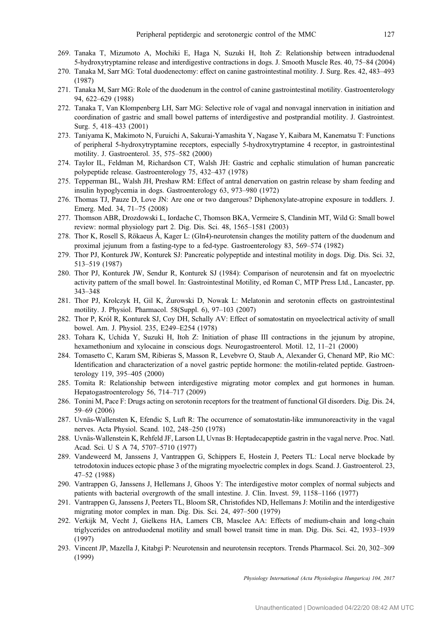- <span id="page-30-0"></span>269. Tanaka T, Mizumoto A, Mochiki E, Haga N, Suzuki H, Itoh Z: Relationship between intraduodenal 5-hydroxytryptamine release and interdigestive contractions in dogs. J. Smooth Muscle Res. 40, 75–84 (2004)
- 270. Tanaka M, Sarr MG: Total duodenectomy: effect on canine gastrointestinal motility. J. Surg. Res. 42, 483–493 (1987)
- 271. Tanaka M, Sarr MG: Role of the duodenum in the control of canine gastrointestinal motility. Gastroenterology 94, 622–629 (1988)
- 272. Tanaka T, Van Klompenberg LH, Sarr MG: Selective role of vagal and nonvagal innervation in initiation and coordination of gastric and small bowel patterns of interdigestive and postprandial motility. J. Gastrointest. Surg. 5, 418–433 (2001)
- 273. Taniyama K, Makimoto N, Furuichi A, Sakurai-Yamashita Y, Nagase Y, Kaibara M, Kanematsu T: Functions of peripheral 5-hydroxytryptamine receptors, especially 5-hydroxytryptamine 4 receptor, in gastrointestinal motility. J. Gastroenterol. 35, 575–582 (2000)
- 274. Taylor IL, Feldman M, Richardson CT, Walsh JH: Gastric and cephalic stimulation of human pancreatic polypeptide release. Gastroenterology 75, 432–437 (1978)
- 275. Tepperman BL, Walsh JH, Preshaw RM: Effect of antral denervation on gastrin release by sham feeding and insulin hypoglycemia in dogs. Gastroenterology 63, 973–980 (1972)
- 276. Thomas TJ, Pauze D, Love JN: Are one or two dangerous? Diphenoxylate-atropine exposure in toddlers. J. Emerg. Med. 34, 71–75 (2008)
- 277. Thomson ABR, Drozdowski L, Iordache C, Thomson BKA, Vermeire S, Clandinin MT, Wild G: Small bowel review: normal physiology part 2. Dig. Dis. Sci. 48, 1565–1581 (2003)
- 278. Thor K, Rosell S, Rökaeus Å, Kager L: (Gln4)-neurotensin changes the motility pattern of the duodenum and proximal jejunum from a fasting-type to a fed-type. Gastroenterology 83, 569–574 (1982)
- 279. Thor PJ, Konturek JW, Konturek SJ: Pancreatic polypeptide and intestinal motility in dogs. Dig. Dis. Sci. 32, 513–519 (1987)
- 280. Thor PJ, Konturek JW, Sendur R, Konturek SJ (1984): Comparison of neurotensin and fat on myoelectric activity pattern of the small bowel. In: Gastrointestinal Motility, ed Roman C, MTP Press Ltd., Lancaster, pp. 343–348
- 281. Thor PJ, Krolczyk H, Gil K, Zurowski D, Nowak L: Melatonin and serotonin effects on gastrointestinal \_ motility. J. Physiol. Pharmacol. 58(Suppl. 6), 97–103 (2007)
- 282. Thor P, Król R, Konturek SJ, Coy DH, Schally AV: Effect of somatostatin on myoelectrical activity of small bowel. Am. J. Physiol. 235, E249–E254 (1978)
- 283. Tohara K, Uchida Y, Suzuki H, Itoh Z: Initiation of phase III contractions in the jejunum by atropine, hexamethonium and xylocaine in conscious dogs. Neurogastroenterol. Motil. 12, 11–21 (2000)
- 284. Tomasetto C, Karam SM, Ribieras S, Masson R, Levebvre O, Staub A, Alexander G, Chenard MP, Rio MC: Identification and characterization of a novel gastric peptide hormone: the motilin-related peptide. Gastroenterology 119, 395–405 (2000)
- 285. Tomita R: Relationship between interdigestive migrating motor complex and gut hormones in human. Hepatogastroenterology 56, 714–717 (2009)
- 286. Tonini M, Pace F: Drugs acting on serotonin receptors for the treatment of functional GI disorders. Dig. Dis. 24, 59–69 (2006)
- 287. Uvnäs-Wallensten K, Efendic S, Luft R: The occurrence of somatostatin-like immunoreactivity in the vagal nerves. Acta Physiol. Scand. 102, 248–250 (1978)
- 288. Uvnäs-Wallenstein K, Rehfeld JF, Larson LI, Uvnas B: Heptadecapeptide gastrin in the vagal nerve. Proc. Natl. Acad. Sci. U S A 74, 5707–5710 (1977)
- 289. Vandeweerd M, Janssens J, Vantrappen G, Schippers E, Hostein J, Peeters TL: Local nerve blockade by tetrodotoxin induces ectopic phase 3 of the migrating myoelectric complex in dogs. Scand. J. Gastroenterol. 23, 47–52 (1988)
- 290. Vantrappen G, Janssens J, Hellemans J, Ghoos Y: The interdigestive motor complex of normal subjects and patients with bacterial overgrowth of the small intestine. J. Clin. Invest. 59, 1158–1166 (1977)
- 291. Vantrappen G, Janssens J, Peeters TL, Bloom SR, Christofides ND, Hellemans J: Motilin and the interdigestive migrating motor complex in man. Dig. Dis. Sci. 24, 497–500 (1979)
- 292. Verkijk M, Vecht J, Gielkens HA, Lamers CB, Masclee AA: Effects of medium-chain and long-chain triglycerides on antroduodenal motility and small bowel transit time in man. Dig. Dis. Sci. 42, 1933–1939 (1997)
- 293. Vincent JP, Mazella J, Kitabgi P: Neurotensin and neurotensin receptors. Trends Pharmacol. Sci. 20, 302–309 (1999)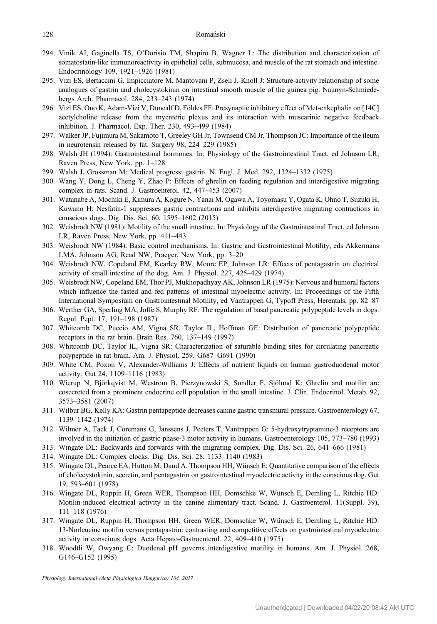- <span id="page-31-0"></span>294. Vinik AI, Gaginella TS, O'Dorisio TM, Shapiro B, Wagner L: The distribution and characterization of somatostatin-like immunoreactivity in epithelial cells, submucosa, and muscle of the rat stomach and intestine. Endocrinology 109, 1921–1926 (1981)
- 295. Vizi ES, Bertaccini G, Impicciatore M, Mantovani P, Zseli J, Knoll J: Structure-activity relationship of some analogues of gastrin and cholecystokinin on intestinal smooth muscle of the guinea pig. Naunyn-Schmiedebergs Arch. Pharmacol. 284, 233–243 (1974)
- 296. Vizi ES, Ono K, Adam-Vizi V, Duncalf D, Földes FF: Presynaptic inhibitory effect of Met-enkephalin on [14C] acetylcholine release from the myenteric plexus and its interaction with muscarinic negative feedback inhibition. J. Pharmacol. Exp. Ther. 230, 493–499 (1984)
- 297. Walker JP, Fujimura M, Sakamoto T, Greeley GH Jr, Townsend CM Jr, Thompson JC: Importance of the ileum in neurotensin released by fat. Surgery 98, 224–229 (1985)
- 298. Walsh JH (1994): Gastrointestinal hormones. In: Physiology of the Gastrointestinal Tract, ed Johnson LR, Raven Press, New York, pp. 1–128
- 299. Walsh J, Grossman M: Medical progress: gastrin. N. Engl. J. Med. 292, 1324–1332 (1975)
- 300. Wang Y, Dong L, Cheng Y, Zhao P: Effects of ghrelin on feeding regulation and interdigestive migrating complex in rats. Scand. J. Gastroenterol. 42, 447–453 (2007)
- 301. Watanabe A, Mochiki E, Kimura A, Kogure N, Yanai M, Ogawa A, Toyomasu Y, Ogata K, Ohno T, Suzuki H, Kuwano H: Nesfatin-1 suppresses gastric contractions and inhibits interdigestive migrating contractions in conscious dogs. Dig. Dis. Sci. 60, 1595–1602 (2015)
- 302. Weisbrodt NW (1981): Motility of the small intestine. In: Physiology of the Gastrointestinal Tract, ed Johnson LR, Raven Press, New York, pp. 411–443
- 303. Weisbrodt NW (1984): Basic control mechanisms. In: Gastric and Gastrointestinal Motility, eds Akkermans LMA, Johnson AG, Read NW, Praeger, New York, pp. 3–20
- 304. Weisbrodt NW, Copeland EM, Kearley RW, Moore EP, Johnson LR: Effects of pentagastrin on electrical activity of small intestine of the dog. Am. J. Physiol. 227, 425–429 (1974)
- 305. Weisbrodt NW, Copeland EM, Thor PJ, Mukhopadhyay AK, Johnson LR (1975): Nervous and humoral factors which influence the fasted and fed patterns of intestinal myoelectric activity. In: Proceedings of the Fifth International Symposium on Gastrointestinal Motility, ed Vantrappen G, Typoff Press, Herentals, pp. 82–87
- 306. Werther GA, Sperling MA, Joffe S, Murphy RF: The regulation of basal pancreatic polypeptide levels in dogs. Regul. Pept. 17, 191–198 (1987)
- 307. Whitcomb DC, Puccio AM, Vigna SR, Taylor IL, Hoffman GE: Distribution of pancreatic polypeptide receptors in the rat brain. Brain Res. 760, 137–149 (1997)
- 308. Whitcomb DC, Taylor IL, Vigna SR: Characterization of saturable binding sites for circulating pancreatic polypeptide in rat brain. Am. J. Physiol. 259, G687–G691 (1990)
- 309. White CM, Poxon V, Alexander-Williams J: Effects of nutrient liquids on human gastroduodenal motor activity. Gut 24, 1109–1116 (1983)
- 310. Wierup N, Björkqvist M, Westrom B, Pierzynowski S, Sundler F, Sjölund K: Ghrelin and motilin are cosecreted from a prominent endocrine cell population in the small intestine. J. Clin. Endocrinol. Metab. 92, 3573–3581 (2007)
- 311. Wilbur BG, Kelly KA: Gastrin pentapeptide decreases canine gastric transmural pressure. Gastroenterology 67, 1139–1142 (1974)
- 312. Wilmer A, Tack J, Coremans G, Janssens J, Peeters T, Vantrappen G: 5-hydroxytryptamine-3 receptors are involved in the initiation of gastric phase-3 motor activity in humans. Gastroenterology 105, 773–780 (1993)
- 313. Wingate DL: Backwards and forwards with the migrating complex. Dig. Dis. Sci. 26, 641–666 (1981)
- 314. Wingate DL: Complex clocks. Dig. Dis. Sci. 28, 1133–1140 (1983)
- 315. Wingate DL, Pearce EA, Hutton M, Dand A, Thompson HH, Wünsch E: Quantitative comparison of the effects of cholecystokinin, secretin, and pentagastrin on gastrointestinal myoelectric activity in the conscious dog. Gut 19, 593–601 (1978)
- 316. Wingate DL, Ruppin H, Green WER, Thompson HH, Domschke W, Wünsch E, Demling L, Ritchie HD: Motilin-induced electrical activity in the canine alimentary tract. Scand. J. Gastroenterol. 11(Suppl. 39), 111–118 (1976)
- 317. Wingate DL, Ruppin H, Thompson HH, Green WER, Domschke W, Wünsch E, Demling L, Ritchie HD: 13-Norleucine motilin versus pentagastrin: contrasting and competitive effects on gastrointestinal myoelectric activity in conscious dogs. Acta Hepato-Gastroenterol. 22, 409–410 (1975)
- 318. Woodtli W, Owyang C: Duodenal pH governs interdigestive motility in humans. Am. J. Physiol. 268, G146–G152 (1995)